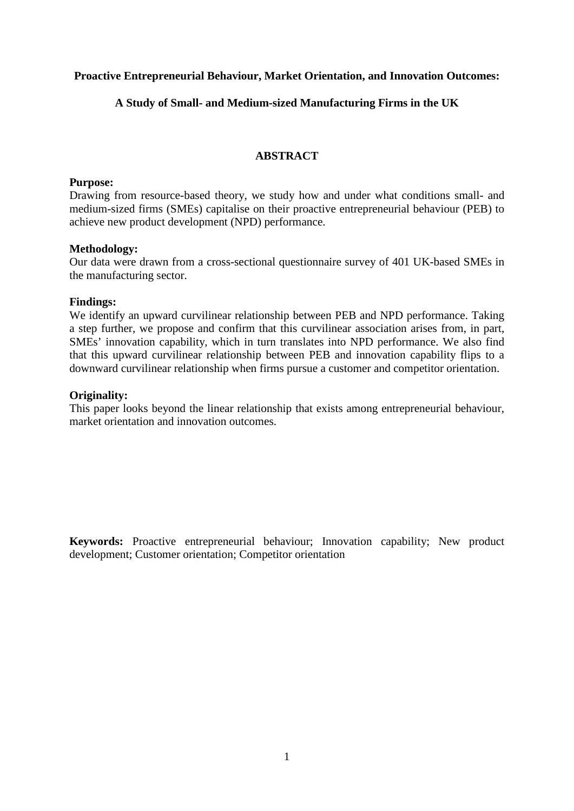## **Proactive Entrepreneurial Behaviour, Market Orientation, and Innovation Outcomes:**

## **A Study of Small- and Medium-sized Manufacturing Firms in the UK**

## **ABSTRACT**

#### **Purpose:**

Drawing from resource-based theory, we study how and under what conditions small- and medium-sized firms (SMEs) capitalise on their proactive entrepreneurial behaviour (PEB) to achieve new product development (NPD) performance.

## **Methodology:**

Our data were drawn from a cross-sectional questionnaire survey of 401 UK-based SMEs in the manufacturing sector.

## **Findings:**

We identify an upward curvilinear relationship between PEB and NPD performance. Taking a step further, we propose and confirm that this curvilinear association arises from, in part, SMEs' innovation capability, which in turn translates into NPD performance. We also find that this upward curvilinear relationship between PEB and innovation capability flips to a downward curvilinear relationship when firms pursue a customer and competitor orientation.

## **Originality:**

This paper looks beyond the linear relationship that exists among entrepreneurial behaviour, market orientation and innovation outcomes.

**Keywords:** Proactive entrepreneurial behaviour; Innovation capability; New product development; Customer orientation; Competitor orientation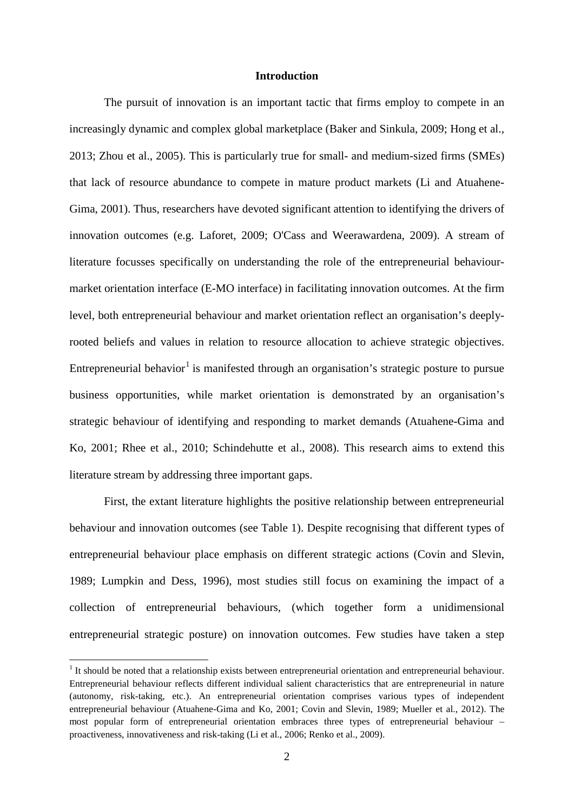#### **Introduction**

The pursuit of innovation is an important tactic that firms employ to compete in an increasingly dynamic and complex global marketplace (Baker and Sinkula, 2009; Hong et al., 2013; Zhou et al., 2005). This is particularly true for small- and medium-sized firms (SMEs) that lack of resource abundance to compete in mature product markets (Li and Atuahene-Gima, 2001). Thus, researchers have devoted significant attention to identifying the drivers of innovation outcomes (e.g. Laforet, 2009; O'Cass and Weerawardena, 2009). A stream of literature focusses specifically on understanding the role of the entrepreneurial behaviourmarket orientation interface (E-MO interface) in facilitating innovation outcomes. At the firm level, both entrepreneurial behaviour and market orientation reflect an organisation's deeplyrooted beliefs and values in relation to resource allocation to achieve strategic objectives. Entrepreneurial behavior<sup>[1](#page-1-0)</sup> is manifested through an organisation's strategic posture to pursue business opportunities, while market orientation is demonstrated by an organisation's strategic behaviour of identifying and responding to market demands (Atuahene-Gima and Ko, 2001; Rhee et al., 2010; Schindehutte et al., 2008). This research aims to extend this literature stream by addressing three important gaps.

First, the extant literature highlights the positive relationship between entrepreneurial behaviour and innovation outcomes (see Table 1). Despite recognising that different types of entrepreneurial behaviour place emphasis on different strategic actions (Covin and Slevin, 1989; Lumpkin and Dess, 1996), most studies still focus on examining the impact of a collection of entrepreneurial behaviours, (which together form a unidimensional entrepreneurial strategic posture) on innovation outcomes. Few studies have taken a step

<span id="page-1-0"></span> $<sup>1</sup>$  It should be noted that a relationship exists between entrepreneurial orientation and entrepreneurial behaviour.</sup> Entrepreneurial behaviour reflects different individual salient characteristics that are entrepreneurial in nature (autonomy, risk-taking, etc.). An entrepreneurial orientation comprises various types of independent entrepreneurial behaviour (Atuahene-Gima and Ko, 2001; Covin and Slevin, 1989; Mueller et al., 2012). The most popular form of entrepreneurial orientation embraces three types of entrepreneurial behaviour – proactiveness, innovativeness and risk-taking (Li et al., 2006; Renko et al., 2009).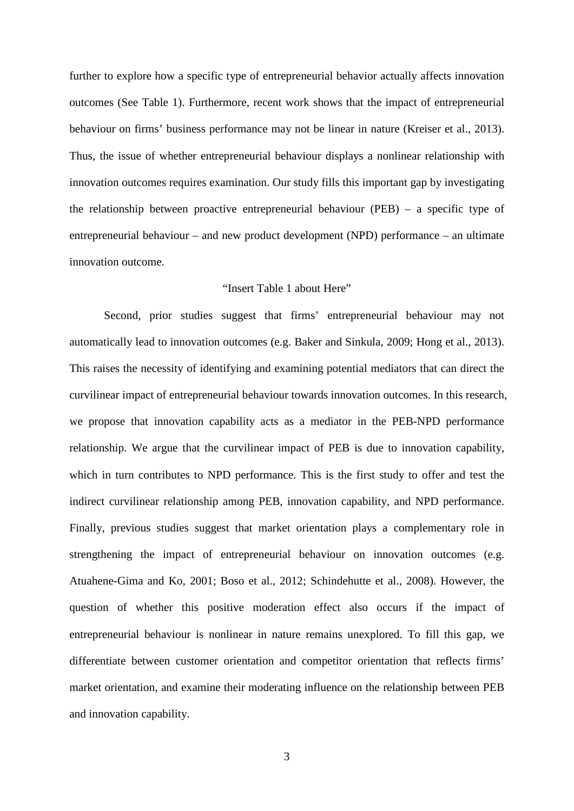further to explore how a specific type of entrepreneurial behavior actually affects innovation outcomes (See Table 1). Furthermore, recent work shows that the impact of entrepreneurial behaviour on firms' business performance may not be linear in nature (Kreiser et al., 2013). Thus, the issue of whether entrepreneurial behaviour displays a nonlinear relationship with innovation outcomes requires examination. Our study fills this important gap by investigating the relationship between proactive entrepreneurial behaviour (PEB) – a specific type of entrepreneurial behaviour – and new product development (NPD) performance – an ultimate innovation outcome.

#### "Insert Table 1 about Here"

Second, prior studies suggest that firms' entrepreneurial behaviour may not automatically lead to innovation outcomes (e.g. Baker and Sinkula, 2009; Hong et al., 2013). This raises the necessity of identifying and examining potential mediators that can direct the curvilinear impact of entrepreneurial behaviour towards innovation outcomes. In this research, we propose that innovation capability acts as a mediator in the PEB-NPD performance relationship. We argue that the curvilinear impact of PEB is due to innovation capability, which in turn contributes to NPD performance. This is the first study to offer and test the indirect curvilinear relationship among PEB, innovation capability, and NPD performance. Finally, previous studies suggest that market orientation plays a complementary role in strengthening the impact of entrepreneurial behaviour on innovation outcomes (e.g. Atuahene-Gima and Ko, 2001; Boso et al., 2012; Schindehutte et al., 2008). However, the question of whether this positive moderation effect also occurs if the impact of entrepreneurial behaviour is nonlinear in nature remains unexplored. To fill this gap, we differentiate between customer orientation and competitor orientation that reflects firms' market orientation, and examine their moderating influence on the relationship between PEB and innovation capability.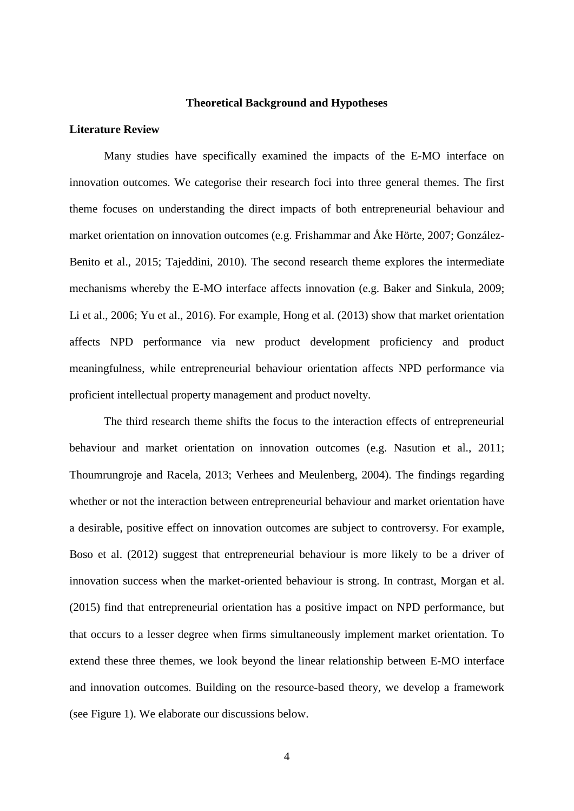#### **Theoretical Background and Hypotheses**

#### **Literature Review**

Many studies have specifically examined the impacts of the E-MO interface on innovation outcomes. We categorise their research foci into three general themes. The first theme focuses on understanding the direct impacts of both entrepreneurial behaviour and market orientation on innovation outcomes (e.g. Frishammar and Åke Hörte, 2007; González-Benito et al., 2015; Tajeddini, 2010). The second research theme explores the intermediate mechanisms whereby the E-MO interface affects innovation (e.g. Baker and Sinkula, 2009; Li et al., 2006; Yu et al., 2016). For example, Hong et al. (2013) show that market orientation affects NPD performance via new product development proficiency and product meaningfulness, while entrepreneurial behaviour orientation affects NPD performance via proficient intellectual property management and product novelty.

The third research theme shifts the focus to the interaction effects of entrepreneurial behaviour and market orientation on innovation outcomes (e.g. Nasution et al., 2011; Thoumrungroje and Racela, 2013; Verhees and Meulenberg, 2004). The findings regarding whether or not the interaction between entrepreneurial behaviour and market orientation have a desirable, positive effect on innovation outcomes are subject to controversy. For example, Boso et al. (2012) suggest that entrepreneurial behaviour is more likely to be a driver of innovation success when the market-oriented behaviour is strong. In contrast, Morgan et al. (2015) find that entrepreneurial orientation has a positive impact on NPD performance, but that occurs to a lesser degree when firms simultaneously implement market orientation. To extend these three themes, we look beyond the linear relationship between E-MO interface and innovation outcomes. Building on the resource-based theory, we develop a framework (see Figure 1). We elaborate our discussions below.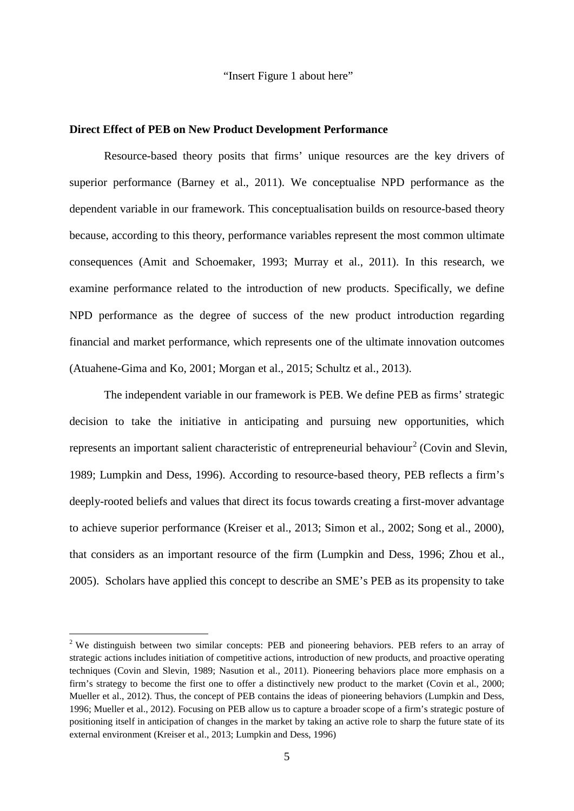"Insert Figure 1 about here"

#### **Direct Effect of PEB on New Product Development Performance**

Resource-based theory posits that firms' unique resources are the key drivers of superior performance (Barney et al., 2011). We conceptualise NPD performance as the dependent variable in our framework. This conceptualisation builds on resource-based theory because, according to this theory, performance variables represent the most common ultimate consequences (Amit and Schoemaker, 1993; Murray et al., 2011). In this research, we examine performance related to the introduction of new products. Specifically, we define NPD performance as the degree of success of the new product introduction regarding financial and market performance, which represents one of the ultimate innovation outcomes (Atuahene-Gima and Ko, 2001; Morgan et al., 2015; Schultz et al., 2013).

The independent variable in our framework is PEB. We define PEB as firms' strategic decision to take the initiative in anticipating and pursuing new opportunities, which represents an important salient characteristic of entrepreneurial behaviour<sup>[2](#page-4-0)</sup> (Covin and Slevin, 1989; Lumpkin and Dess, 1996). According to resource-based theory, PEB reflects a firm's deeply-rooted beliefs and values that direct its focus towards creating a first-mover advantage to achieve superior performance (Kreiser et al., 2013; Simon et al., 2002; Song et al., 2000), that considers as an important resource of the firm (Lumpkin and Dess, 1996; Zhou et al., 2005). Scholars have applied this concept to describe an SME's PEB as its propensity to take

<span id="page-4-0"></span><sup>&</sup>lt;sup>2</sup> We distinguish between two similar concepts: PEB and pioneering behaviors. PEB refers to an array of strategic actions includes initiation of competitive actions, introduction of new products, and proactive operating techniques (Covin and Slevin, 1989; Nasution et al., 2011). Pioneering behaviors place more emphasis on a firm's strategy to become the first one to offer a distinctively new product to the market (Covin et al., 2000; Mueller et al., 2012). Thus, the concept of PEB contains the ideas of pioneering behaviors (Lumpkin and Dess, 1996; Mueller et al., 2012). Focusing on PEB allow us to capture a broader scope of a firm's strategic posture of positioning itself in anticipation of changes in the market by taking an active role to sharp the future state of its external environment (Kreiser et al., 2013; Lumpkin and Dess, 1996)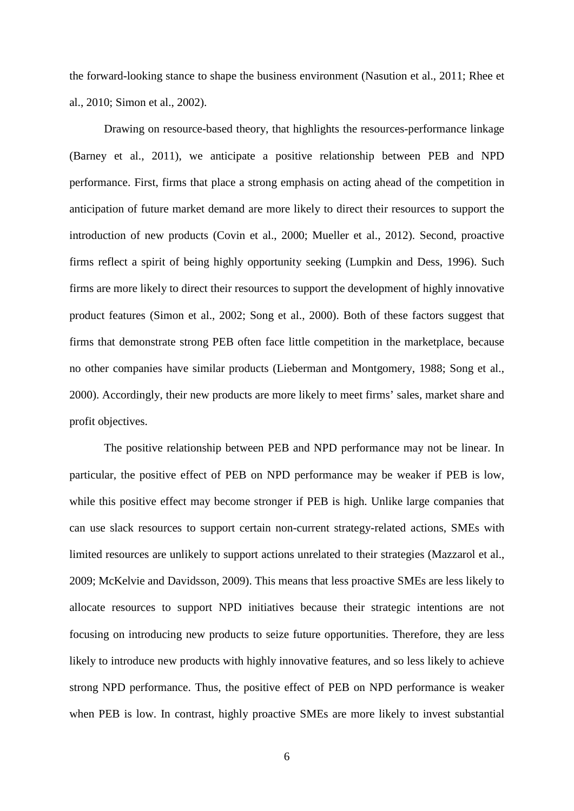the forward-looking stance to shape the business environment (Nasution et al., 2011; Rhee et al., 2010; Simon et al., 2002).

Drawing on resource-based theory, that highlights the resources-performance linkage (Barney et al., 2011), we anticipate a positive relationship between PEB and NPD performance. First, firms that place a strong emphasis on acting ahead of the competition in anticipation of future market demand are more likely to direct their resources to support the introduction of new products (Covin et al., 2000; Mueller et al., 2012). Second, proactive firms reflect a spirit of being highly opportunity seeking (Lumpkin and Dess, 1996). Such firms are more likely to direct their resources to support the development of highly innovative product features (Simon et al., 2002; Song et al., 2000). Both of these factors suggest that firms that demonstrate strong PEB often face little competition in the marketplace, because no other companies have similar products (Lieberman and Montgomery, 1988; Song et al., 2000). Accordingly, their new products are more likely to meet firms' sales, market share and profit objectives.

The positive relationship between PEB and NPD performance may not be linear. In particular, the positive effect of PEB on NPD performance may be weaker if PEB is low, while this positive effect may become stronger if PEB is high. Unlike large companies that can use slack resources to support certain non-current strategy-related actions, SMEs with limited resources are unlikely to support actions unrelated to their strategies (Mazzarol et al., 2009; McKelvie and Davidsson, 2009). This means that less proactive SMEs are less likely to allocate resources to support NPD initiatives because their strategic intentions are not focusing on introducing new products to seize future opportunities. Therefore, they are less likely to introduce new products with highly innovative features, and so less likely to achieve strong NPD performance. Thus, the positive effect of PEB on NPD performance is weaker when PEB is low. In contrast, highly proactive SMEs are more likely to invest substantial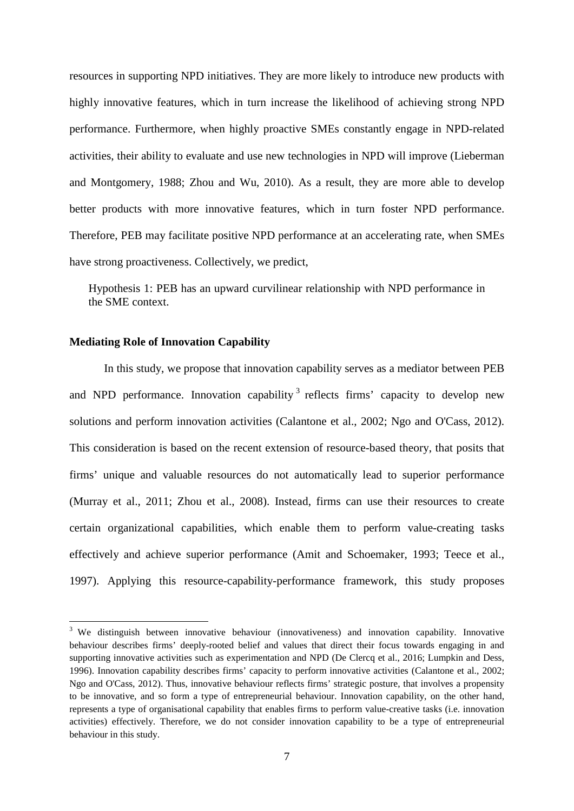resources in supporting NPD initiatives. They are more likely to introduce new products with highly innovative features, which in turn increase the likelihood of achieving strong NPD performance. Furthermore, when highly proactive SMEs constantly engage in NPD-related activities, their ability to evaluate and use new technologies in NPD will improve (Lieberman and Montgomery, 1988; Zhou and Wu, 2010). As a result, they are more able to develop better products with more innovative features, which in turn foster NPD performance. Therefore, PEB may facilitate positive NPD performance at an accelerating rate, when SMEs have strong proactiveness. Collectively, we predict,

Hypothesis 1: PEB has an upward curvilinear relationship with NPD performance in the SME context.

## **Mediating Role of Innovation Capability**

In this study, we propose that innovation capability serves as a mediator between PEB and NPD performance. Innovation capability  $3$  reflects firms' capacity to develop new solutions and perform innovation activities (Calantone et al., 2002; Ngo and O'Cass, 2012). This consideration is based on the recent extension of resource-based theory, that posits that firms' unique and valuable resources do not automatically lead to superior performance (Murray et al., 2011; Zhou et al., 2008). Instead, firms can use their resources to create certain organizational capabilities, which enable them to perform value-creating tasks effectively and achieve superior performance (Amit and Schoemaker, 1993; Teece et al., 1997). Applying this resource-capability-performance framework, this study proposes

<span id="page-6-0"></span><sup>&</sup>lt;sup>3</sup> We distinguish between innovative behaviour (innovativeness) and innovation capability. Innovative behaviour describes firms' deeply-rooted belief and values that direct their focus towards engaging in and supporting innovative activities such as experimentation and NPD (De Clercq et al., 2016; Lumpkin and Dess, 1996). Innovation capability describes firms' capacity to perform innovative activities (Calantone et al., 2002; Ngo and O'Cass, 2012). Thus, innovative behaviour reflects firms' strategic posture, that involves a propensity to be innovative, and so form a type of entrepreneurial behaviour. Innovation capability, on the other hand, represents a type of organisational capability that enables firms to perform value-creative tasks (i.e. innovation activities) effectively. Therefore, we do not consider innovation capability to be a type of entrepreneurial behaviour in this study.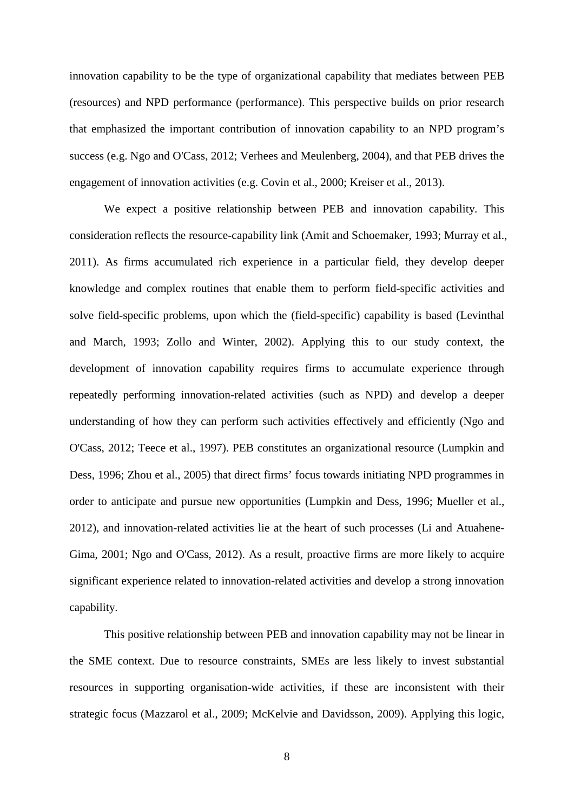innovation capability to be the type of organizational capability that mediates between PEB (resources) and NPD performance (performance). This perspective builds on prior research that emphasized the important contribution of innovation capability to an NPD program's success (e.g. Ngo and O'Cass, 2012; Verhees and Meulenberg, 2004), and that PEB drives the engagement of innovation activities (e.g. Covin et al., 2000; Kreiser et al., 2013).

We expect a positive relationship between PEB and innovation capability. This consideration reflects the resource-capability link (Amit and Schoemaker, 1993; Murray et al., 2011). As firms accumulated rich experience in a particular field, they develop deeper knowledge and complex routines that enable them to perform field-specific activities and solve field-specific problems, upon which the (field-specific) capability is based (Levinthal and March, 1993; Zollo and Winter, 2002). Applying this to our study context, the development of innovation capability requires firms to accumulate experience through repeatedly performing innovation-related activities (such as NPD) and develop a deeper understanding of how they can perform such activities effectively and efficiently (Ngo and O'Cass, 2012; Teece et al., 1997). PEB constitutes an organizational resource (Lumpkin and Dess, 1996; Zhou et al., 2005) that direct firms' focus towards initiating NPD programmes in order to anticipate and pursue new opportunities (Lumpkin and Dess, 1996; Mueller et al., 2012), and innovation-related activities lie at the heart of such processes (Li and Atuahene-Gima, 2001; Ngo and O'Cass, 2012). As a result, proactive firms are more likely to acquire significant experience related to innovation-related activities and develop a strong innovation capability.

This positive relationship between PEB and innovation capability may not be linear in the SME context. Due to resource constraints, SMEs are less likely to invest substantial resources in supporting organisation-wide activities, if these are inconsistent with their strategic focus (Mazzarol et al., 2009; McKelvie and Davidsson, 2009). Applying this logic,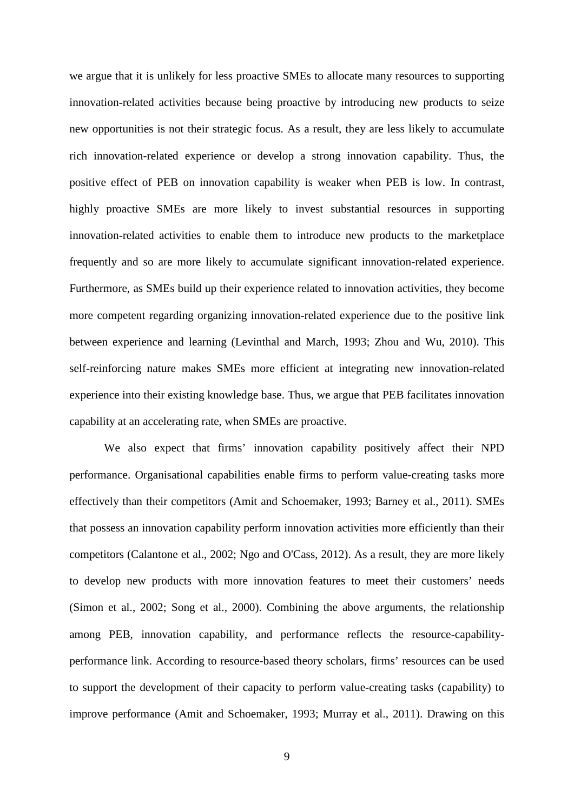we argue that it is unlikely for less proactive SMEs to allocate many resources to supporting innovation-related activities because being proactive by introducing new products to seize new opportunities is not their strategic focus. As a result, they are less likely to accumulate rich innovation-related experience or develop a strong innovation capability. Thus, the positive effect of PEB on innovation capability is weaker when PEB is low. In contrast, highly proactive SMEs are more likely to invest substantial resources in supporting innovation-related activities to enable them to introduce new products to the marketplace frequently and so are more likely to accumulate significant innovation-related experience. Furthermore, as SMEs build up their experience related to innovation activities, they become more competent regarding organizing innovation-related experience due to the positive link between experience and learning (Levinthal and March, 1993; Zhou and Wu, 2010). This self-reinforcing nature makes SMEs more efficient at integrating new innovation-related experience into their existing knowledge base. Thus, we argue that PEB facilitates innovation capability at an accelerating rate, when SMEs are proactive.

We also expect that firms' innovation capability positively affect their NPD performance. Organisational capabilities enable firms to perform value-creating tasks more effectively than their competitors (Amit and Schoemaker, 1993; Barney et al., 2011). SMEs that possess an innovation capability perform innovation activities more efficiently than their competitors (Calantone et al., 2002; Ngo and O'Cass, 2012). As a result, they are more likely to develop new products with more innovation features to meet their customers' needs (Simon et al., 2002; Song et al., 2000). Combining the above arguments, the relationship among PEB, innovation capability, and performance reflects the resource-capabilityperformance link. According to resource-based theory scholars, firms' resources can be used to support the development of their capacity to perform value-creating tasks (capability) to improve performance (Amit and Schoemaker, 1993; Murray et al., 2011). Drawing on this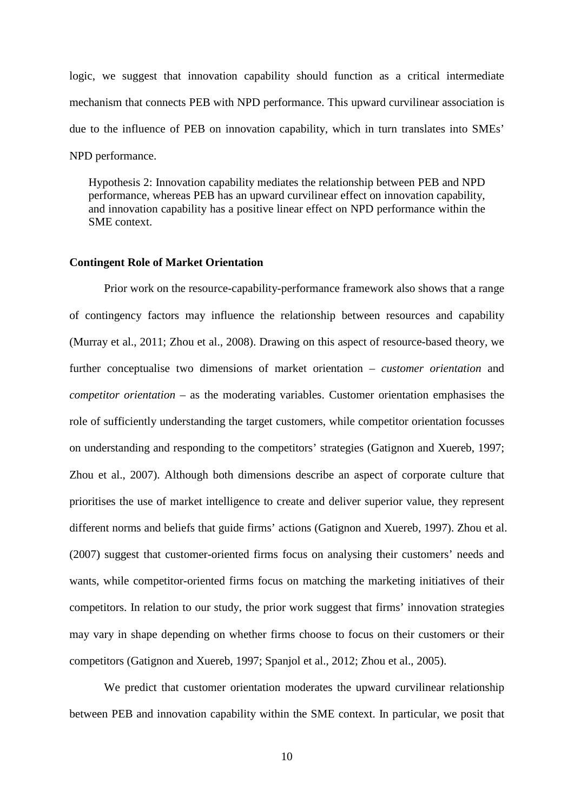logic, we suggest that innovation capability should function as a critical intermediate mechanism that connects PEB with NPD performance. This upward curvilinear association is due to the influence of PEB on innovation capability, which in turn translates into SMEs' NPD performance.

Hypothesis 2: Innovation capability mediates the relationship between PEB and NPD performance, whereas PEB has an upward curvilinear effect on innovation capability, and innovation capability has a positive linear effect on NPD performance within the SME context.

#### **Contingent Role of Market Orientation**

Prior work on the resource-capability-performance framework also shows that a range of contingency factors may influence the relationship between resources and capability (Murray et al., 2011; Zhou et al., 2008). Drawing on this aspect of resource-based theory, we further conceptualise two dimensions of market orientation – *customer orientation* and *competitor orientation* – as the moderating variables. Customer orientation emphasises the role of sufficiently understanding the target customers, while competitor orientation focusses on understanding and responding to the competitors' strategies (Gatignon and Xuereb, 1997; Zhou et al., 2007). Although both dimensions describe an aspect of corporate culture that prioritises the use of market intelligence to create and deliver superior value, they represent different norms and beliefs that guide firms' actions (Gatignon and Xuereb, 1997). Zhou et al. (2007) suggest that customer-oriented firms focus on analysing their customers' needs and wants, while competitor-oriented firms focus on matching the marketing initiatives of their competitors. In relation to our study, the prior work suggest that firms' innovation strategies may vary in shape depending on whether firms choose to focus on their customers or their competitors (Gatignon and Xuereb, 1997; Spanjol et al., 2012; Zhou et al., 2005).

We predict that customer orientation moderates the upward curvilinear relationship between PEB and innovation capability within the SME context. In particular, we posit that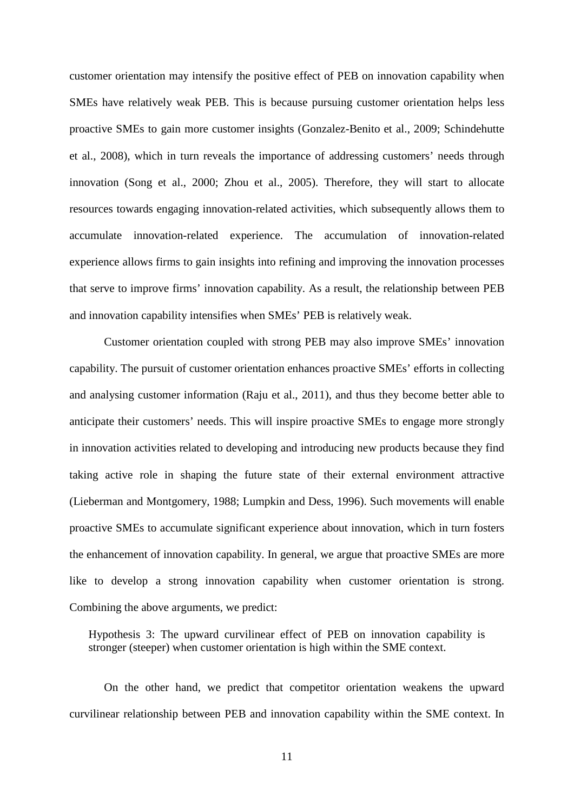customer orientation may intensify the positive effect of PEB on innovation capability when SMEs have relatively weak PEB. This is because pursuing customer orientation helps less proactive SMEs to gain more customer insights (Gonzalez-Benito et al., 2009; Schindehutte et al., 2008), which in turn reveals the importance of addressing customers' needs through innovation (Song et al., 2000; Zhou et al., 2005). Therefore, they will start to allocate resources towards engaging innovation-related activities, which subsequently allows them to accumulate innovation-related experience. The accumulation of innovation-related experience allows firms to gain insights into refining and improving the innovation processes that serve to improve firms' innovation capability. As a result, the relationship between PEB and innovation capability intensifies when SMEs' PEB is relatively weak.

Customer orientation coupled with strong PEB may also improve SMEs' innovation capability. The pursuit of customer orientation enhances proactive SMEs' efforts in collecting and analysing customer information (Raju et al., 2011), and thus they become better able to anticipate their customers' needs. This will inspire proactive SMEs to engage more strongly in innovation activities related to developing and introducing new products because they find taking active role in shaping the future state of their external environment attractive (Lieberman and Montgomery, 1988; Lumpkin and Dess, 1996). Such movements will enable proactive SMEs to accumulate significant experience about innovation, which in turn fosters the enhancement of innovation capability. In general, we argue that proactive SMEs are more like to develop a strong innovation capability when customer orientation is strong. Combining the above arguments, we predict:

Hypothesis 3: The upward curvilinear effect of PEB on innovation capability is stronger (steeper) when customer orientation is high within the SME context.

On the other hand, we predict that competitor orientation weakens the upward curvilinear relationship between PEB and innovation capability within the SME context. In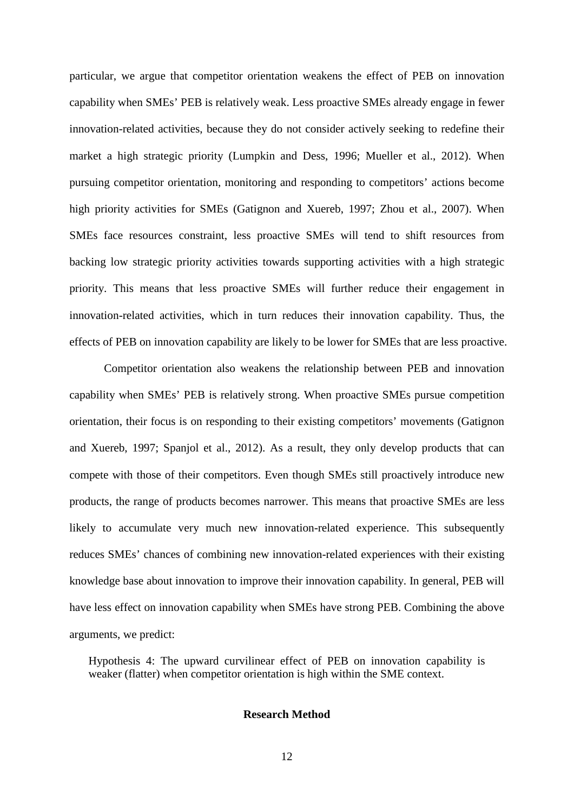particular, we argue that competitor orientation weakens the effect of PEB on innovation capability when SMEs' PEB is relatively weak. Less proactive SMEs already engage in fewer innovation-related activities, because they do not consider actively seeking to redefine their market a high strategic priority (Lumpkin and Dess, 1996; Mueller et al., 2012). When pursuing competitor orientation, monitoring and responding to competitors' actions become high priority activities for SMEs (Gatignon and Xuereb, 1997; Zhou et al., 2007). When SMEs face resources constraint, less proactive SMEs will tend to shift resources from backing low strategic priority activities towards supporting activities with a high strategic priority. This means that less proactive SMEs will further reduce their engagement in innovation-related activities, which in turn reduces their innovation capability. Thus, the effects of PEB on innovation capability are likely to be lower for SMEs that are less proactive.

Competitor orientation also weakens the relationship between PEB and innovation capability when SMEs' PEB is relatively strong. When proactive SMEs pursue competition orientation, their focus is on responding to their existing competitors' movements (Gatignon and Xuereb, 1997; Spanjol et al., 2012). As a result, they only develop products that can compete with those of their competitors. Even though SMEs still proactively introduce new products, the range of products becomes narrower. This means that proactive SMEs are less likely to accumulate very much new innovation-related experience. This subsequently reduces SMEs' chances of combining new innovation-related experiences with their existing knowledge base about innovation to improve their innovation capability. In general, PEB will have less effect on innovation capability when SMEs have strong PEB. Combining the above arguments, we predict:

Hypothesis 4: The upward curvilinear effect of PEB on innovation capability is weaker (flatter) when competitor orientation is high within the SME context.

#### **Research Method**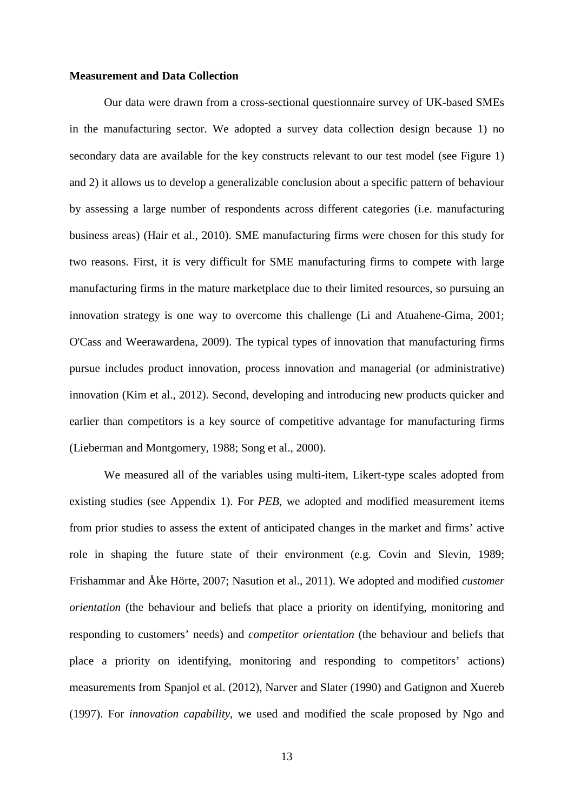#### **Measurement and Data Collection**

Our data were drawn from a cross-sectional questionnaire survey of UK-based SMEs in the manufacturing sector. We adopted a survey data collection design because 1) no secondary data are available for the key constructs relevant to our test model (see Figure 1) and 2) it allows us to develop a generalizable conclusion about a specific pattern of behaviour by assessing a large number of respondents across different categories (i.e. manufacturing business areas) (Hair et al., 2010). SME manufacturing firms were chosen for this study for two reasons. First, it is very difficult for SME manufacturing firms to compete with large manufacturing firms in the mature marketplace due to their limited resources, so pursuing an innovation strategy is one way to overcome this challenge (Li and Atuahene-Gima, 2001; O'Cass and Weerawardena, 2009). The typical types of innovation that manufacturing firms pursue includes product innovation, process innovation and managerial (or administrative) innovation (Kim et al., 2012). Second, developing and introducing new products quicker and earlier than competitors is a key source of competitive advantage for manufacturing firms (Lieberman and Montgomery, 1988; Song et al., 2000).

We measured all of the variables using multi-item, Likert-type scales adopted from existing studies (see Appendix 1). For *PEB*, we adopted and modified measurement items from prior studies to assess the extent of anticipated changes in the market and firms' active role in shaping the future state of their environment (e.g. Covin and Slevin, 1989; Frishammar and Åke Hörte, 2007; Nasution et al., 2011). We adopted and modified *customer orientation* (the behaviour and beliefs that place a priority on identifying, monitoring and responding to customers' needs) and *competitor orientation* (the behaviour and beliefs that place a priority on identifying, monitoring and responding to competitors' actions) measurements from Spanjol et al. (2012), Narver and Slater (1990) and Gatignon and Xuereb (1997). For *innovation capability*, we used and modified the scale proposed by Ngo and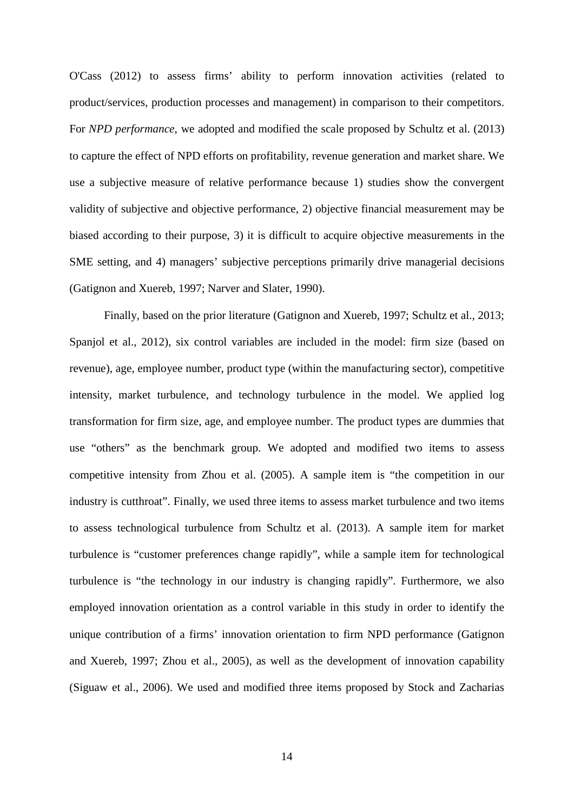O'Cass (2012) to assess firms' ability to perform innovation activities (related to product/services, production processes and management) in comparison to their competitors. For *NPD performance*, we adopted and modified the scale proposed by Schultz et al. (2013) to capture the effect of NPD efforts on profitability, revenue generation and market share. We use a subjective measure of relative performance because 1) studies show the convergent validity of subjective and objective performance, 2) objective financial measurement may be biased according to their purpose, 3) it is difficult to acquire objective measurements in the SME setting, and 4) managers' subjective perceptions primarily drive managerial decisions (Gatignon and Xuereb, 1997; Narver and Slater, 1990).

Finally, based on the prior literature (Gatignon and Xuereb, 1997; Schultz et al., 2013; Spanjol et al., 2012), six control variables are included in the model: firm size (based on revenue), age, employee number, product type (within the manufacturing sector), competitive intensity, market turbulence, and technology turbulence in the model. We applied log transformation for firm size, age, and employee number. The product types are dummies that use "others" as the benchmark group. We adopted and modified two items to assess competitive intensity from Zhou et al. (2005). A sample item is "the competition in our industry is cutthroat". Finally, we used three items to assess market turbulence and two items to assess technological turbulence from Schultz et al. (2013). A sample item for market turbulence is "customer preferences change rapidly", while a sample item for technological turbulence is "the technology in our industry is changing rapidly". Furthermore, we also employed innovation orientation as a control variable in this study in order to identify the unique contribution of a firms' innovation orientation to firm NPD performance (Gatignon and Xuereb, 1997; Zhou et al., 2005), as well as the development of innovation capability (Siguaw et al., 2006). We used and modified three items proposed by Stock and Zacharias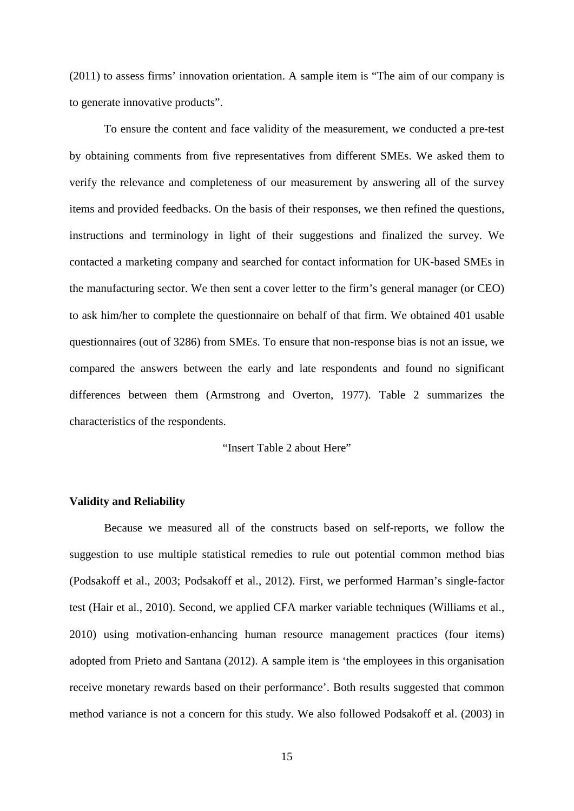(2011) to assess firms' innovation orientation. A sample item is "The aim of our company is to generate innovative products".

To ensure the content and face validity of the measurement, we conducted a pre-test by obtaining comments from five representatives from different SMEs. We asked them to verify the relevance and completeness of our measurement by answering all of the survey items and provided feedbacks. On the basis of their responses, we then refined the questions, instructions and terminology in light of their suggestions and finalized the survey. We contacted a marketing company and searched for contact information for UK-based SMEs in the manufacturing sector. We then sent a cover letter to the firm's general manager (or CEO) to ask him/her to complete the questionnaire on behalf of that firm. We obtained 401 usable questionnaires (out of 3286) from SMEs. To ensure that non-response bias is not an issue, we compared the answers between the early and late respondents and found no significant differences between them (Armstrong and Overton, 1977). Table 2 summarizes the characteristics of the respondents.

"Insert Table 2 about Here"

## **Validity and Reliability**

Because we measured all of the constructs based on self-reports, we follow the suggestion to use multiple statistical remedies to rule out potential common method bias (Podsakoff et al., 2003; Podsakoff et al., 2012). First, we performed Harman's single-factor test (Hair et al., 2010). Second, we applied CFA marker variable techniques (Williams et al., 2010) using motivation-enhancing human resource management practices (four items) adopted from Prieto and Santana (2012). A sample item is 'the employees in this organisation receive monetary rewards based on their performance'. Both results suggested that common method variance is not a concern for this study. We also followed Podsakoff et al. (2003) in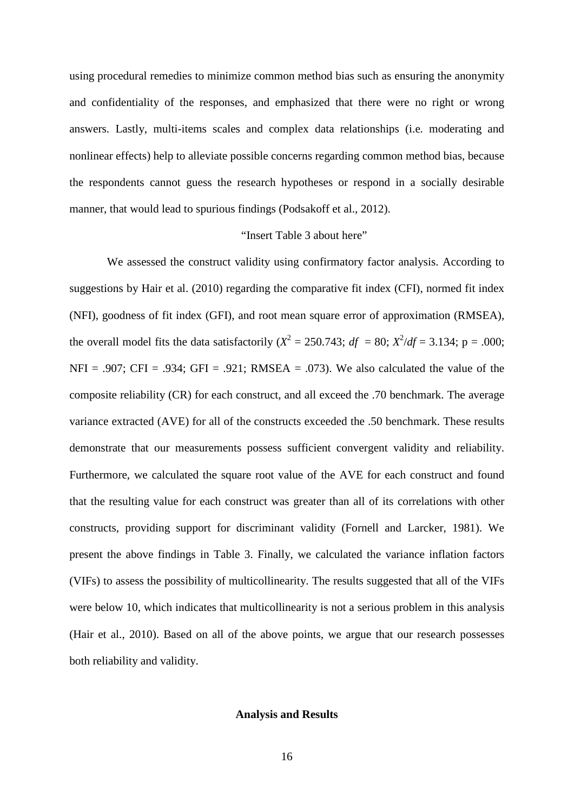using procedural remedies to minimize common method bias such as ensuring the anonymity and confidentiality of the responses, and emphasized that there were no right or wrong answers. Lastly, multi-items scales and complex data relationships (i.e. moderating and nonlinear effects) help to alleviate possible concerns regarding common method bias, because the respondents cannot guess the research hypotheses or respond in a socially desirable manner, that would lead to spurious findings (Podsakoff et al., 2012).

#### "Insert Table 3 about here"

We assessed the construct validity using confirmatory factor analysis. According to suggestions by Hair et al. (2010) regarding the comparative fit index (CFI), normed fit index (NFI), goodness of fit index (GFI), and root mean square error of approximation (RMSEA), the overall model fits the data satisfactorily  $(X^2 = 250.743; df = 80; X^2/df = 3.134; p = .000;$  $NFI = .907$ ;  $CFI = .934$ ;  $GFI = .921$ ;  $RMSEA = .073$ ). We also calculated the value of the composite reliability (CR) for each construct, and all exceed the .70 benchmark. The average variance extracted (AVE) for all of the constructs exceeded the .50 benchmark. These results demonstrate that our measurements possess sufficient convergent validity and reliability. Furthermore, we calculated the square root value of the AVE for each construct and found that the resulting value for each construct was greater than all of its correlations with other constructs, providing support for discriminant validity (Fornell and Larcker, 1981). We present the above findings in Table 3. Finally, we calculated the variance inflation factors (VIFs) to assess the possibility of multicollinearity. The results suggested that all of the VIFs were below 10, which indicates that multicollinearity is not a serious problem in this analysis (Hair et al., 2010). Based on all of the above points, we argue that our research possesses both reliability and validity.

## **Analysis and Results**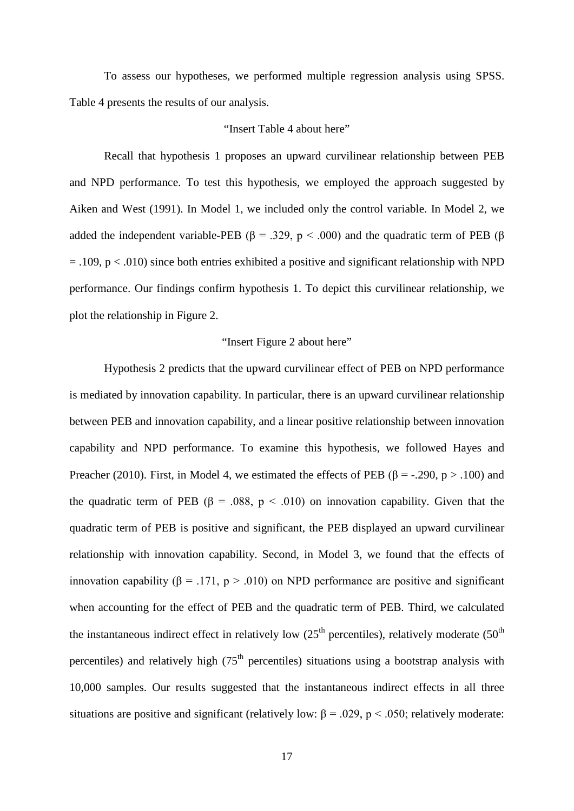To assess our hypotheses, we performed multiple regression analysis using SPSS. Table 4 presents the results of our analysis.

## "Insert Table 4 about here"

Recall that hypothesis 1 proposes an upward curvilinear relationship between PEB and NPD performance. To test this hypothesis, we employed the approach suggested by Aiken and West (1991). In Model 1, we included only the control variable. In Model 2, we added the independent variable-PEB ( $\beta$  = .329, p < .000) and the quadratic term of PEB ( $\beta$  $=$  .109, p < .010) since both entries exhibited a positive and significant relationship with NPD performance. Our findings confirm hypothesis 1. To depict this curvilinear relationship, we plot the relationship in Figure 2.

## "Insert Figure 2 about here"

Hypothesis 2 predicts that the upward curvilinear effect of PEB on NPD performance is mediated by innovation capability. In particular, there is an upward curvilinear relationship between PEB and innovation capability, and a linear positive relationship between innovation capability and NPD performance. To examine this hypothesis, we followed Hayes and Preacher (2010). First, in Model 4, we estimated the effects of PEB ( $\beta$  = -.290, p > .100) and the quadratic term of PEB ( $\beta$  = .088, p < .010) on innovation capability. Given that the quadratic term of PEB is positive and significant, the PEB displayed an upward curvilinear relationship with innovation capability. Second, in Model 3, we found that the effects of innovation capability ( $\beta$  = .171, p > .010) on NPD performance are positive and significant when accounting for the effect of PEB and the quadratic term of PEB. Third, we calculated the instantaneous indirect effect in relatively low  $(25<sup>th</sup>$  percentiles), relatively moderate  $(50<sup>th</sup>$ percentiles) and relatively high  $(75<sup>th</sup>$  percentiles) situations using a bootstrap analysis with 10,000 samples. Our results suggested that the instantaneous indirect effects in all three situations are positive and significant (relatively low:  $\beta = .029$ , p < .050; relatively moderate: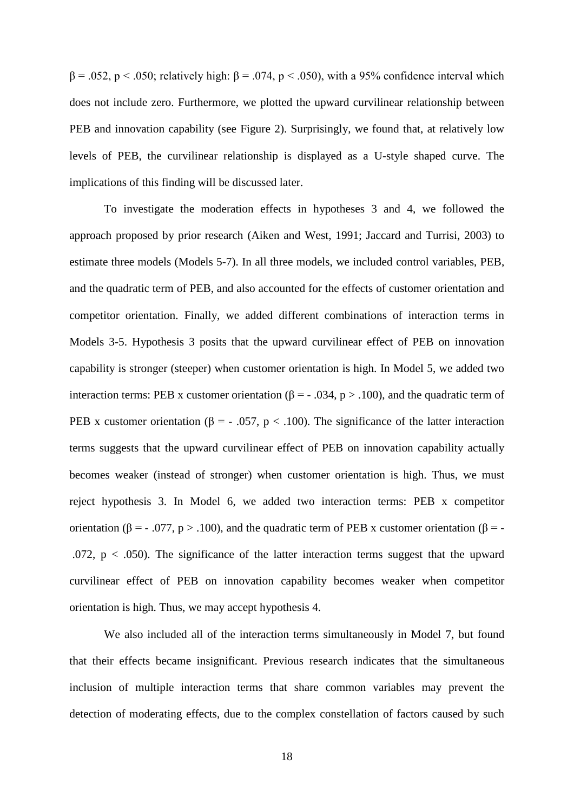$β = .052, p < .050$ ; relatively high:  $β = .074, p < .050$ ), with a 95% confidence interval which does not include zero. Furthermore, we plotted the upward curvilinear relationship between PEB and innovation capability (see Figure 2). Surprisingly, we found that, at relatively low levels of PEB, the curvilinear relationship is displayed as a U-style shaped curve. The implications of this finding will be discussed later.

To investigate the moderation effects in hypotheses 3 and 4, we followed the approach proposed by prior research (Aiken and West, 1991; Jaccard and Turrisi, 2003) to estimate three models (Models 5-7). In all three models, we included control variables, PEB, and the quadratic term of PEB, and also accounted for the effects of customer orientation and competitor orientation. Finally, we added different combinations of interaction terms in Models 3-5. Hypothesis 3 posits that the upward curvilinear effect of PEB on innovation capability is stronger (steeper) when customer orientation is high. In Model 5, we added two interaction terms: PEB x customer orientation (β = - .034, p > .100), and the quadratic term of PEB x customer orientation (β = - .057, p < .100). The significance of the latter interaction terms suggests that the upward curvilinear effect of PEB on innovation capability actually becomes weaker (instead of stronger) when customer orientation is high. Thus, we must reject hypothesis 3. In Model 6, we added two interaction terms: PEB x competitor orientation (β = - .077, p > .100), and the quadratic term of PEB x customer orientation (β = -.072,  $p < .050$ ). The significance of the latter interaction terms suggest that the upward curvilinear effect of PEB on innovation capability becomes weaker when competitor orientation is high. Thus, we may accept hypothesis 4.

We also included all of the interaction terms simultaneously in Model 7, but found that their effects became insignificant. Previous research indicates that the simultaneous inclusion of multiple interaction terms that share common variables may prevent the detection of moderating effects, due to the complex constellation of factors caused by such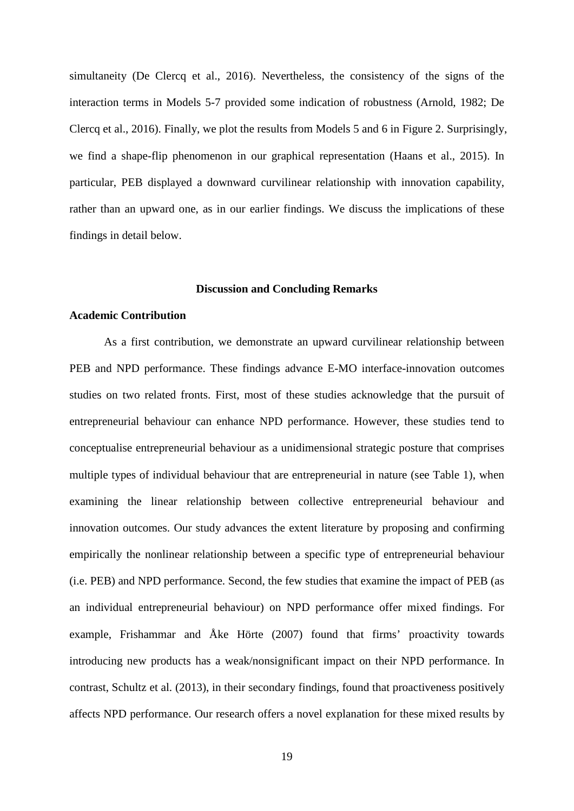simultaneity (De Clercq et al., 2016). Nevertheless, the consistency of the signs of the interaction terms in Models 5-7 provided some indication of robustness (Arnold, 1982; De Clercq et al., 2016). Finally, we plot the results from Models 5 and 6 in Figure 2. Surprisingly, we find a shape-flip phenomenon in our graphical representation (Haans et al., 2015). In particular, PEB displayed a downward curvilinear relationship with innovation capability, rather than an upward one, as in our earlier findings. We discuss the implications of these findings in detail below.

#### **Discussion and Concluding Remarks**

#### **Academic Contribution**

As a first contribution, we demonstrate an upward curvilinear relationship between PEB and NPD performance. These findings advance E-MO interface-innovation outcomes studies on two related fronts. First, most of these studies acknowledge that the pursuit of entrepreneurial behaviour can enhance NPD performance. However, these studies tend to conceptualise entrepreneurial behaviour as a unidimensional strategic posture that comprises multiple types of individual behaviour that are entrepreneurial in nature (see Table 1), when examining the linear relationship between collective entrepreneurial behaviour and innovation outcomes. Our study advances the extent literature by proposing and confirming empirically the nonlinear relationship between a specific type of entrepreneurial behaviour (i.e. PEB) and NPD performance. Second, the few studies that examine the impact of PEB (as an individual entrepreneurial behaviour) on NPD performance offer mixed findings. For example, Frishammar and Åke Hörte (2007) found that firms' proactivity towards introducing new products has a weak/nonsignificant impact on their NPD performance. In contrast, Schultz et al. (2013), in their secondary findings, found that proactiveness positively affects NPD performance. Our research offers a novel explanation for these mixed results by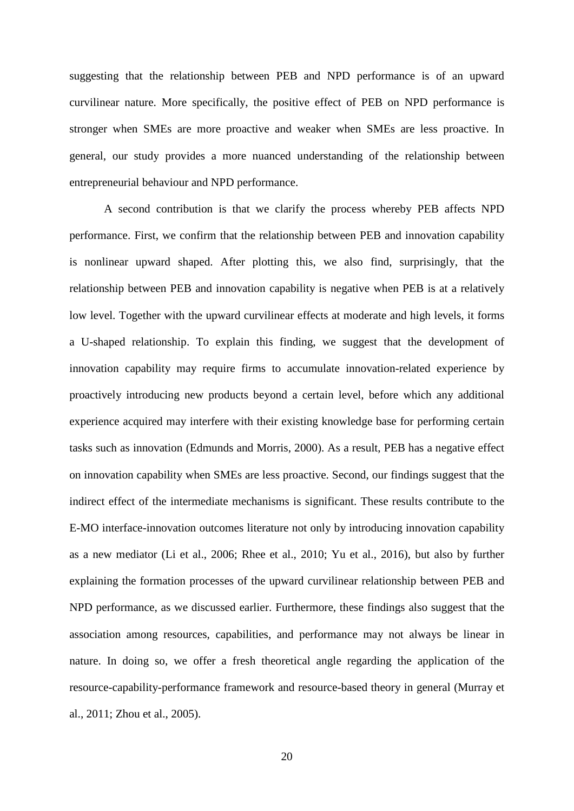suggesting that the relationship between PEB and NPD performance is of an upward curvilinear nature. More specifically, the positive effect of PEB on NPD performance is stronger when SMEs are more proactive and weaker when SMEs are less proactive. In general, our study provides a more nuanced understanding of the relationship between entrepreneurial behaviour and NPD performance.

A second contribution is that we clarify the process whereby PEB affects NPD performance. First, we confirm that the relationship between PEB and innovation capability is nonlinear upward shaped. After plotting this, we also find, surprisingly, that the relationship between PEB and innovation capability is negative when PEB is at a relatively low level. Together with the upward curvilinear effects at moderate and high levels, it forms a U-shaped relationship. To explain this finding, we suggest that the development of innovation capability may require firms to accumulate innovation-related experience by proactively introducing new products beyond a certain level, before which any additional experience acquired may interfere with their existing knowledge base for performing certain tasks such as innovation (Edmunds and Morris, 2000). As a result, PEB has a negative effect on innovation capability when SMEs are less proactive. Second, our findings suggest that the indirect effect of the intermediate mechanisms is significant. These results contribute to the E-MO interface-innovation outcomes literature not only by introducing innovation capability as a new mediator (Li et al., 2006; Rhee et al., 2010; Yu et al., 2016), but also by further explaining the formation processes of the upward curvilinear relationship between PEB and NPD performance, as we discussed earlier. Furthermore, these findings also suggest that the association among resources, capabilities, and performance may not always be linear in nature. In doing so, we offer a fresh theoretical angle regarding the application of the resource-capability-performance framework and resource-based theory in general (Murray et al., 2011; Zhou et al., 2005).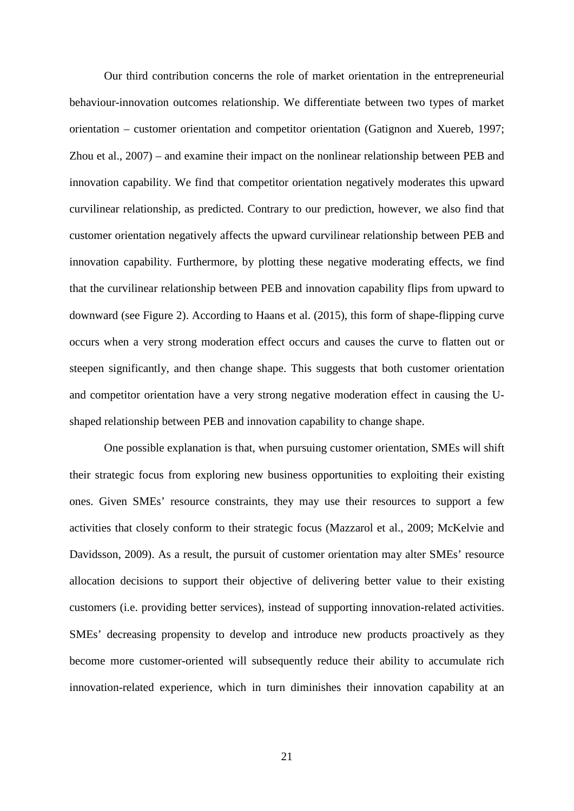Our third contribution concerns the role of market orientation in the entrepreneurial behaviour-innovation outcomes relationship. We differentiate between two types of market orientation – customer orientation and competitor orientation (Gatignon and Xuereb, 1997; Zhou et al., 2007) – and examine their impact on the nonlinear relationship between PEB and innovation capability. We find that competitor orientation negatively moderates this upward curvilinear relationship, as predicted. Contrary to our prediction, however, we also find that customer orientation negatively affects the upward curvilinear relationship between PEB and innovation capability. Furthermore, by plotting these negative moderating effects, we find that the curvilinear relationship between PEB and innovation capability flips from upward to downward (see Figure 2). According to Haans et al. (2015), this form of shape-flipping curve occurs when a very strong moderation effect occurs and causes the curve to flatten out or steepen significantly, and then change shape. This suggests that both customer orientation and competitor orientation have a very strong negative moderation effect in causing the Ushaped relationship between PEB and innovation capability to change shape.

One possible explanation is that, when pursuing customer orientation, SMEs will shift their strategic focus from exploring new business opportunities to exploiting their existing ones. Given SMEs' resource constraints, they may use their resources to support a few activities that closely conform to their strategic focus (Mazzarol et al., 2009; McKelvie and Davidsson, 2009). As a result, the pursuit of customer orientation may alter SMEs' resource allocation decisions to support their objective of delivering better value to their existing customers (i.e. providing better services), instead of supporting innovation-related activities. SMEs' decreasing propensity to develop and introduce new products proactively as they become more customer-oriented will subsequently reduce their ability to accumulate rich innovation-related experience, which in turn diminishes their innovation capability at an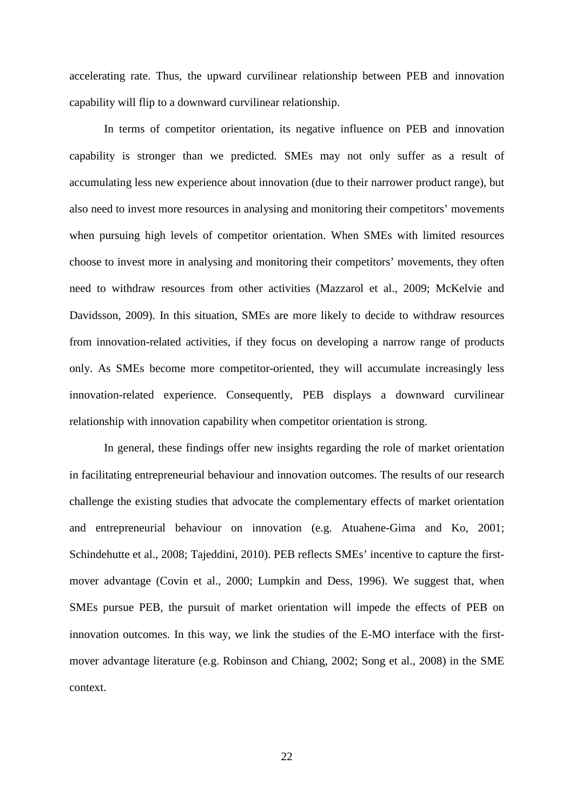accelerating rate. Thus, the upward curvilinear relationship between PEB and innovation capability will flip to a downward curvilinear relationship.

In terms of competitor orientation, its negative influence on PEB and innovation capability is stronger than we predicted. SMEs may not only suffer as a result of accumulating less new experience about innovation (due to their narrower product range), but also need to invest more resources in analysing and monitoring their competitors' movements when pursuing high levels of competitor orientation. When SMEs with limited resources choose to invest more in analysing and monitoring their competitors' movements, they often need to withdraw resources from other activities (Mazzarol et al., 2009; McKelvie and Davidsson, 2009). In this situation, SMEs are more likely to decide to withdraw resources from innovation-related activities, if they focus on developing a narrow range of products only. As SMEs become more competitor-oriented, they will accumulate increasingly less innovation-related experience. Consequently, PEB displays a downward curvilinear relationship with innovation capability when competitor orientation is strong.

In general, these findings offer new insights regarding the role of market orientation in facilitating entrepreneurial behaviour and innovation outcomes. The results of our research challenge the existing studies that advocate the complementary effects of market orientation and entrepreneurial behaviour on innovation (e.g. Atuahene-Gima and Ko, 2001; Schindehutte et al., 2008; Tajeddini, 2010). PEB reflects SMEs' incentive to capture the firstmover advantage (Covin et al., 2000; Lumpkin and Dess, 1996). We suggest that, when SMEs pursue PEB, the pursuit of market orientation will impede the effects of PEB on innovation outcomes. In this way, we link the studies of the E-MO interface with the firstmover advantage literature (e.g. Robinson and Chiang, 2002; Song et al., 2008) in the SME context.

22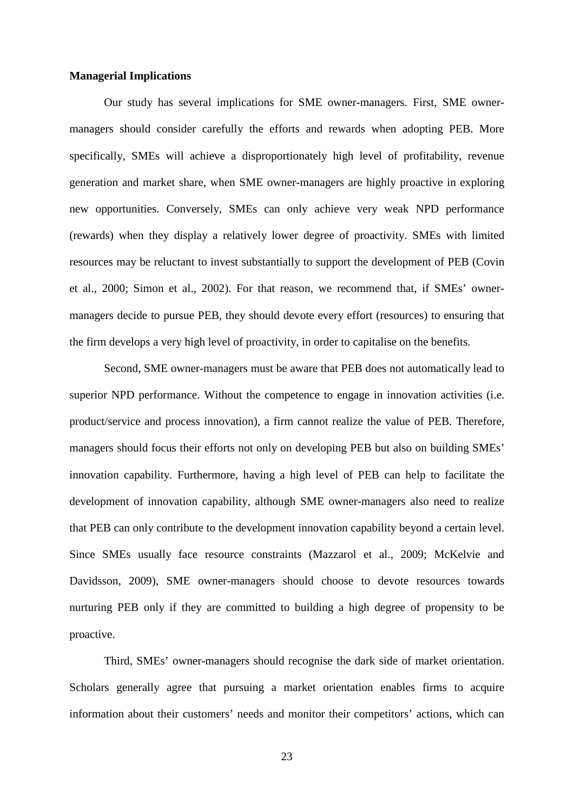#### **Managerial Implications**

Our study has several implications for SME owner-managers. First, SME ownermanagers should consider carefully the efforts and rewards when adopting PEB. More specifically, SMEs will achieve a disproportionately high level of profitability, revenue generation and market share, when SME owner-managers are highly proactive in exploring new opportunities. Conversely, SMEs can only achieve very weak NPD performance (rewards) when they display a relatively lower degree of proactivity. SMEs with limited resources may be reluctant to invest substantially to support the development of PEB (Covin et al., 2000; Simon et al., 2002). For that reason, we recommend that, if SMEs' ownermanagers decide to pursue PEB, they should devote every effort (resources) to ensuring that the firm develops a very high level of proactivity, in order to capitalise on the benefits.

Second, SME owner-managers must be aware that PEB does not automatically lead to superior NPD performance. Without the competence to engage in innovation activities (i.e. product/service and process innovation), a firm cannot realize the value of PEB. Therefore, managers should focus their efforts not only on developing PEB but also on building SMEs' innovation capability. Furthermore, having a high level of PEB can help to facilitate the development of innovation capability, although SME owner-managers also need to realize that PEB can only contribute to the development innovation capability beyond a certain level. Since SMEs usually face resource constraints (Mazzarol et al., 2009; McKelvie and Davidsson, 2009), SME owner-managers should choose to devote resources towards nurturing PEB only if they are committed to building a high degree of propensity to be proactive.

Third, SMEs' owner-managers should recognise the dark side of market orientation. Scholars generally agree that pursuing a market orientation enables firms to acquire information about their customers' needs and monitor their competitors' actions, which can

23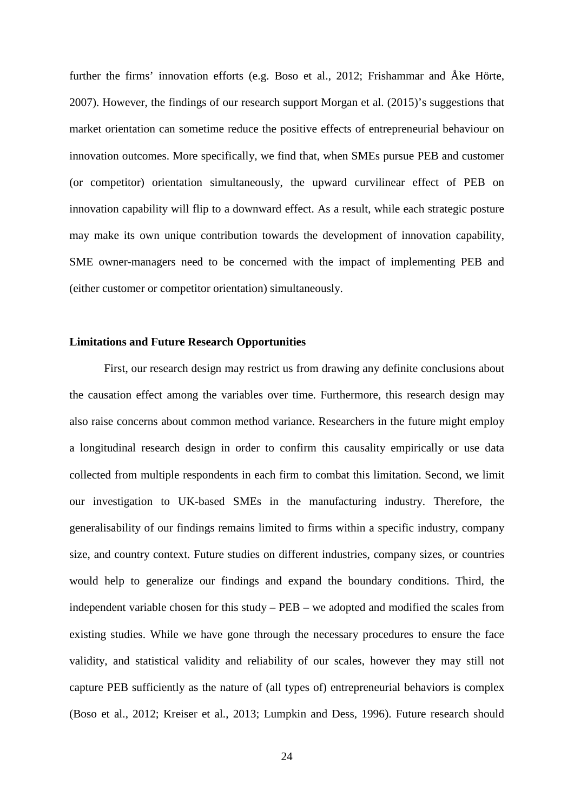further the firms' innovation efforts (e.g. Boso et al., 2012; Frishammar and Åke Hörte, 2007). However, the findings of our research support Morgan et al. (2015)'s suggestions that market orientation can sometime reduce the positive effects of entrepreneurial behaviour on innovation outcomes. More specifically, we find that, when SMEs pursue PEB and customer (or competitor) orientation simultaneously, the upward curvilinear effect of PEB on innovation capability will flip to a downward effect. As a result, while each strategic posture may make its own unique contribution towards the development of innovation capability, SME owner-managers need to be concerned with the impact of implementing PEB and (either customer or competitor orientation) simultaneously.

## **Limitations and Future Research Opportunities**

First, our research design may restrict us from drawing any definite conclusions about the causation effect among the variables over time. Furthermore, this research design may also raise concerns about common method variance. Researchers in the future might employ a longitudinal research design in order to confirm this causality empirically or use data collected from multiple respondents in each firm to combat this limitation. Second, we limit our investigation to UK-based SMEs in the manufacturing industry. Therefore, the generalisability of our findings remains limited to firms within a specific industry, company size, and country context. Future studies on different industries, company sizes, or countries would help to generalize our findings and expand the boundary conditions. Third, the independent variable chosen for this study – PEB – we adopted and modified the scales from existing studies. While we have gone through the necessary procedures to ensure the face validity, and statistical validity and reliability of our scales, however they may still not capture PEB sufficiently as the nature of (all types of) entrepreneurial behaviors is complex (Boso et al., 2012; Kreiser et al., 2013; Lumpkin and Dess, 1996). Future research should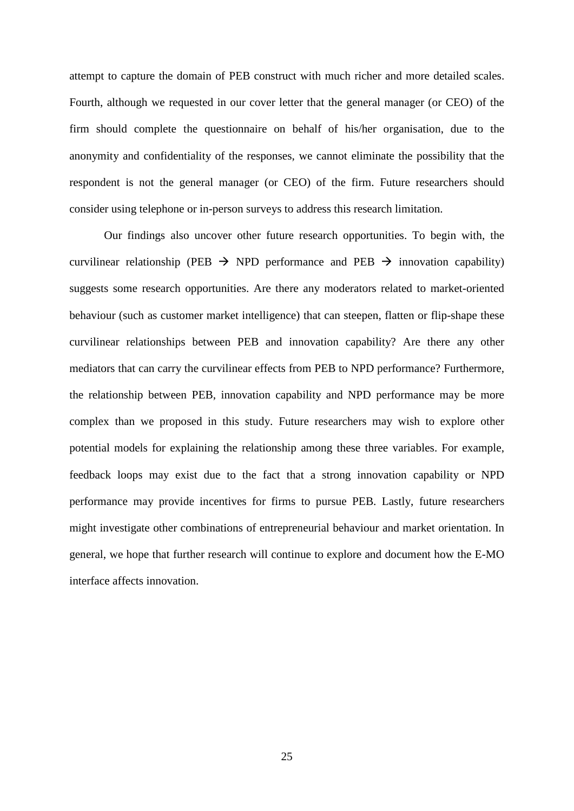attempt to capture the domain of PEB construct with much richer and more detailed scales. Fourth, although we requested in our cover letter that the general manager (or CEO) of the firm should complete the questionnaire on behalf of his/her organisation, due to the anonymity and confidentiality of the responses, we cannot eliminate the possibility that the respondent is not the general manager (or CEO) of the firm. Future researchers should consider using telephone or in-person surveys to address this research limitation.

Our findings also uncover other future research opportunities. To begin with, the curvilinear relationship (PEB  $\rightarrow$  NPD performance and PEB  $\rightarrow$  innovation capability) suggests some research opportunities. Are there any moderators related to market-oriented behaviour (such as customer market intelligence) that can steepen, flatten or flip-shape these curvilinear relationships between PEB and innovation capability? Are there any other mediators that can carry the curvilinear effects from PEB to NPD performance? Furthermore, the relationship between PEB, innovation capability and NPD performance may be more complex than we proposed in this study. Future researchers may wish to explore other potential models for explaining the relationship among these three variables. For example, feedback loops may exist due to the fact that a strong innovation capability or NPD performance may provide incentives for firms to pursue PEB. Lastly, future researchers might investigate other combinations of entrepreneurial behaviour and market orientation. In general, we hope that further research will continue to explore and document how the E-MO interface affects innovation.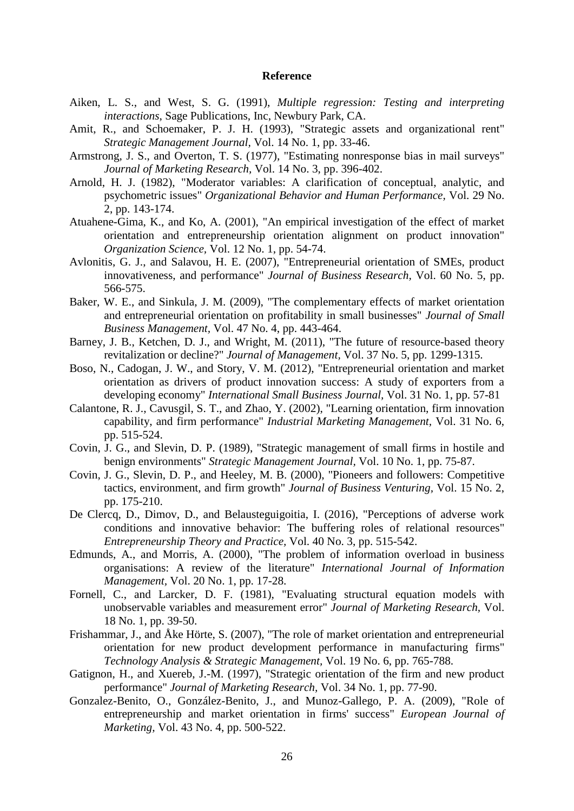#### **Reference**

- Aiken, L. S., and West, S. G. (1991), *Multiple regression: Testing and interpreting interactions*, Sage Publications, Inc, Newbury Park, CA.
- Amit, R., and Schoemaker, P. J. H. (1993), "Strategic assets and organizational rent" *Strategic Management Journal,* Vol. 14 No. 1, pp. 33-46.
- Armstrong, J. S., and Overton, T. S. (1977), "Estimating nonresponse bias in mail surveys" *Journal of Marketing Research,* Vol. 14 No. 3, pp. 396-402.
- Arnold, H. J. (1982), "Moderator variables: A clarification of conceptual, analytic, and psychometric issues" *Organizational Behavior and Human Performance,* Vol. 29 No. 2, pp. 143-174.
- Atuahene-Gima, K., and Ko, A. (2001), "An empirical investigation of the effect of market orientation and entrepreneurship orientation alignment on product innovation" *Organization Science,* Vol. 12 No. 1, pp. 54-74.
- Avlonitis, G. J., and Salavou, H. E. (2007), "Entrepreneurial orientation of SMEs, product innovativeness, and performance" *Journal of Business Research,* Vol. 60 No. 5, pp. 566-575.
- Baker, W. E., and Sinkula, J. M. (2009), "The complementary effects of market orientation and entrepreneurial orientation on profitability in small businesses" *Journal of Small Business Management,* Vol. 47 No. 4, pp. 443-464.
- Barney, J. B., Ketchen, D. J., and Wright, M. (2011), "The future of resource-based theory revitalization or decline?" *Journal of Management,* Vol. 37 No. 5, pp. 1299-1315.
- Boso, N., Cadogan, J. W., and Story, V. M. (2012), "Entrepreneurial orientation and market orientation as drivers of product innovation success: A study of exporters from a developing economy" *International Small Business Journal,* Vol. 31 No. 1, pp. 57-81
- Calantone, R. J., Cavusgil, S. T., and Zhao, Y. (2002), "Learning orientation, firm innovation capability, and firm performance" *Industrial Marketing Management,* Vol. 31 No. 6, pp. 515-524.
- Covin, J. G., and Slevin, D. P. (1989), "Strategic management of small firms in hostile and benign environments" *Strategic Management Journal,* Vol. 10 No. 1, pp. 75-87.
- Covin, J. G., Slevin, D. P., and Heeley, M. B. (2000), "Pioneers and followers: Competitive tactics, environment, and firm growth" *Journal of Business Venturing,* Vol. 15 No. 2, pp. 175-210.
- De Clercq, D., Dimov, D., and Belausteguigoitia, I. (2016), "Perceptions of adverse work conditions and innovative behavior: The buffering roles of relational resources" *Entrepreneurship Theory and Practice,* Vol. 40 No. 3, pp. 515-542.
- Edmunds, A., and Morris, A. (2000), "The problem of information overload in business organisations: A review of the literature" *International Journal of Information Management,* Vol. 20 No. 1, pp. 17-28.
- Fornell, C., and Larcker, D. F. (1981), "Evaluating structural equation models with unobservable variables and measurement error" *Journal of Marketing Research,* Vol. 18 No. 1, pp. 39-50.
- Frishammar, J., and Åke Hörte, S. (2007), "The role of market orientation and entrepreneurial orientation for new product development performance in manufacturing firms" *Technology Analysis & Strategic Management,* Vol. 19 No. 6, pp. 765-788.
- Gatignon, H., and Xuereb, J.-M. (1997), "Strategic orientation of the firm and new product performance" *Journal of Marketing Research,* Vol. 34 No. 1, pp. 77-90.
- Gonzalez-Benito, O., González-Benito, J., and Munoz-Gallego, P. A. (2009), "Role of entrepreneurship and market orientation in firms' success" *European Journal of Marketing,* Vol. 43 No. 4, pp. 500-522.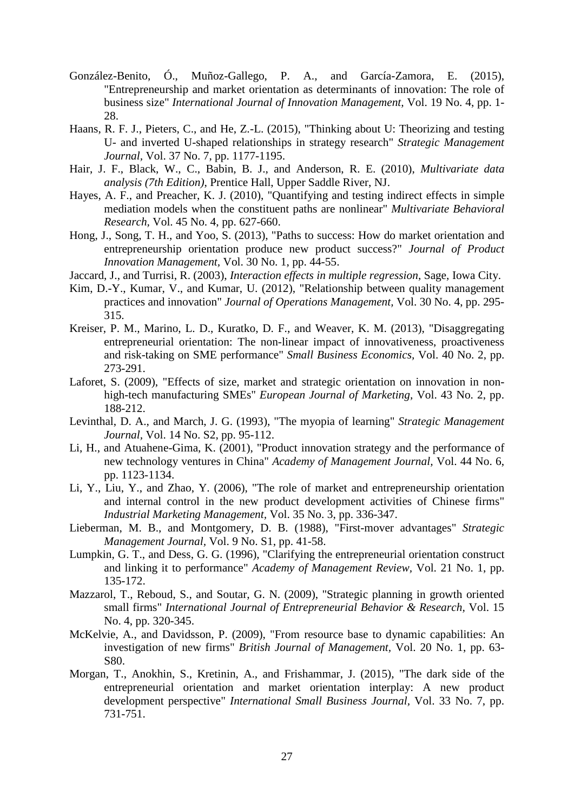- González-Benito, Ó., Muñoz-Gallego, P. A., and García-Zamora, E. (2015), "Entrepreneurship and market orientation as determinants of innovation: The role of business size" *International Journal of Innovation Management,* Vol. 19 No. 4, pp. 1- 28.
- Haans, R. F. J., Pieters, C., and He, Z.-L. (2015), "Thinking about U: Theorizing and testing U- and inverted U-shaped relationships in strategy research" *Strategic Management Journal,* Vol. 37 No. 7, pp. 1177-1195.
- Hair, J. F., Black, W., C., Babin, B. J., and Anderson, R. E. (2010), *Multivariate data analysis (7th Edition)*, Prentice Hall, Upper Saddle River, NJ.
- Hayes, A. F., and Preacher, K. J. (2010), "Quantifying and testing indirect effects in simple mediation models when the constituent paths are nonlinear" *Multivariate Behavioral Research,* Vol. 45 No. 4, pp. 627-660.
- Hong, J., Song, T. H., and Yoo, S. (2013), "Paths to success: How do market orientation and entrepreneurship orientation produce new product success?" *Journal of Product Innovation Management,* Vol. 30 No. 1, pp. 44-55.
- Jaccard, J., and Turrisi, R. (2003), *Interaction effects in multiple regression*, Sage, Iowa City.
- Kim, D.-Y., Kumar, V., and Kumar, U. (2012), "Relationship between quality management practices and innovation" *Journal of Operations Management,* Vol. 30 No. 4, pp. 295- 315.
- Kreiser, P. M., Marino, L. D., Kuratko, D. F., and Weaver, K. M. (2013), "Disaggregating entrepreneurial orientation: The non-linear impact of innovativeness, proactiveness and risk-taking on SME performance" *Small Business Economics,* Vol. 40 No. 2, pp. 273-291.
- Laforet, S. (2009), "Effects of size, market and strategic orientation on innovation in nonhigh-tech manufacturing SMEs" *European Journal of Marketing,* Vol. 43 No. 2, pp. 188-212.
- Levinthal, D. A., and March, J. G. (1993), "The myopia of learning" *Strategic Management Journal,* Vol. 14 No. S2, pp. 95-112.
- Li, H., and Atuahene-Gima, K. (2001), "Product innovation strategy and the performance of new technology ventures in China" *Academy of Management Journal,* Vol. 44 No. 6, pp. 1123-1134.
- Li, Y., Liu, Y., and Zhao, Y. (2006), "The role of market and entrepreneurship orientation and internal control in the new product development activities of Chinese firms" *Industrial Marketing Management,* Vol. 35 No. 3, pp. 336-347.
- Lieberman, M. B., and Montgomery, D. B. (1988), "First-mover advantages" *Strategic Management Journal,* Vol. 9 No. S1, pp. 41-58.
- Lumpkin, G. T., and Dess, G. G. (1996), "Clarifying the entrepreneurial orientation construct and linking it to performance" *Academy of Management Review,* Vol. 21 No. 1, pp. 135-172.
- Mazzarol, T., Reboud, S., and Soutar, G. N. (2009), "Strategic planning in growth oriented small firms" *International Journal of Entrepreneurial Behavior & Research,* Vol. 15 No. 4, pp. 320-345.
- McKelvie, A., and Davidsson, P. (2009), "From resource base to dynamic capabilities: An investigation of new firms" *British Journal of Management,* Vol. 20 No. 1, pp. 63- S80.
- Morgan, T., Anokhin, S., Kretinin, A., and Frishammar, J. (2015), "The dark side of the entrepreneurial orientation and market orientation interplay: A new product development perspective" *International Small Business Journal,* Vol. 33 No. 7, pp. 731-751.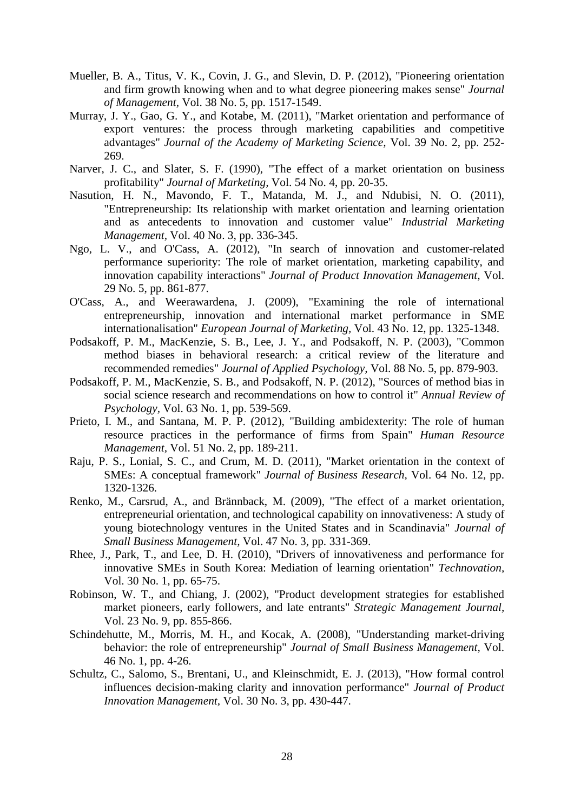- Mueller, B. A., Titus, V. K., Covin, J. G., and Slevin, D. P. (2012), "Pioneering orientation and firm growth knowing when and to what degree pioneering makes sense" *Journal of Management,* Vol. 38 No. 5, pp. 1517-1549.
- Murray, J. Y., Gao, G. Y., and Kotabe, M. (2011), "Market orientation and performance of export ventures: the process through marketing capabilities and competitive advantages" *Journal of the Academy of Marketing Science,* Vol. 39 No. 2, pp. 252- 269.
- Narver, J. C., and Slater, S. F. (1990), "The effect of a market orientation on business profitability" *Journal of Marketing,* Vol. 54 No. 4, pp. 20-35.
- Nasution, H. N., Mavondo, F. T., Matanda, M. J., and Ndubisi, N. O. (2011), "Entrepreneurship: Its relationship with market orientation and learning orientation and as antecedents to innovation and customer value" *Industrial Marketing Management,* Vol. 40 No. 3, pp. 336-345.
- Ngo, L. V., and O'Cass, A. (2012), "In search of innovation and customer-related performance superiority: The role of market orientation, marketing capability, and innovation capability interactions" *Journal of Product Innovation Management,* Vol. 29 No. 5, pp. 861-877.
- O'Cass, A., and Weerawardena, J. (2009), "Examining the role of international entrepreneurship, innovation and international market performance in SME internationalisation" *European Journal of Marketing,* Vol. 43 No. 12, pp. 1325-1348.
- Podsakoff, P. M., MacKenzie, S. B., Lee, J. Y., and Podsakoff, N. P. (2003), "Common method biases in behavioral research: a critical review of the literature and recommended remedies" *Journal of Applied Psychology,* Vol. 88 No. 5, pp. 879-903.
- Podsakoff, P. M., MacKenzie, S. B., and Podsakoff, N. P. (2012), "Sources of method bias in social science research and recommendations on how to control it" *Annual Review of Psychology,* Vol. 63 No. 1, pp. 539-569.
- Prieto, I. M., and Santana, M. P. P. (2012), "Building ambidexterity: The role of human resource practices in the performance of firms from Spain" *Human Resource Management,* Vol. 51 No. 2, pp. 189-211.
- Raju, P. S., Lonial, S. C., and Crum, M. D. (2011), "Market orientation in the context of SMEs: A conceptual framework" *Journal of Business Research,* Vol. 64 No. 12, pp. 1320-1326.
- Renko, M., Carsrud, A., and Brännback, M. (2009), "The effect of a market orientation, entrepreneurial orientation, and technological capability on innovativeness: A study of young biotechnology ventures in the United States and in Scandinavia" *Journal of Small Business Management,* Vol. 47 No. 3, pp. 331-369.
- Rhee, J., Park, T., and Lee, D. H. (2010), "Drivers of innovativeness and performance for innovative SMEs in South Korea: Mediation of learning orientation" *Technovation,*  Vol. 30 No. 1, pp. 65-75.
- Robinson, W. T., and Chiang, J. (2002), "Product development strategies for established market pioneers, early followers, and late entrants" *Strategic Management Journal,*  Vol. 23 No. 9, pp. 855-866.
- Schindehutte, M., Morris, M. H., and Kocak, A. (2008), "Understanding market-driving behavior: the role of entrepreneurship" *Journal of Small Business Management,* Vol. 46 No. 1, pp. 4-26.
- Schultz, C., Salomo, S., Brentani, U., and Kleinschmidt, E. J. (2013), "How formal control influences decision-making clarity and innovation performance" *Journal of Product Innovation Management,* Vol. 30 No. 3, pp. 430-447.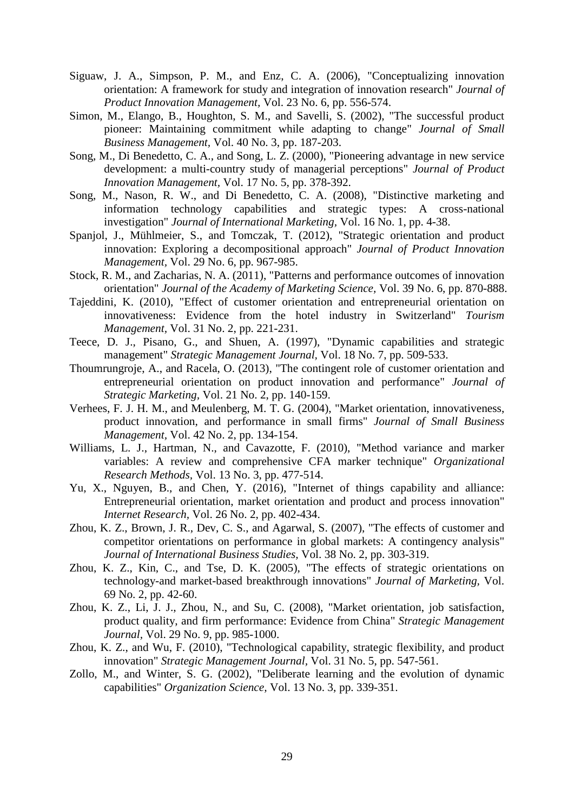- Siguaw, J. A., Simpson, P. M., and Enz, C. A. (2006), "Conceptualizing innovation orientation: A framework for study and integration of innovation research" *Journal of Product Innovation Management,* Vol. 23 No. 6, pp. 556-574.
- Simon, M., Elango, B., Houghton, S. M., and Savelli, S. (2002), "The successful product pioneer: Maintaining commitment while adapting to change" *Journal of Small Business Management,* Vol. 40 No. 3, pp. 187-203.
- Song, M., Di Benedetto, C. A., and Song, L. Z. (2000), "Pioneering advantage in new service development: a multi-country study of managerial perceptions" *Journal of Product Innovation Management,* Vol. 17 No. 5, pp. 378-392.
- Song, M., Nason, R. W., and Di Benedetto, C. A. (2008), "Distinctive marketing and information technology capabilities and strategic types: A cross-national investigation" *Journal of International Marketing,* Vol. 16 No. 1, pp. 4-38.
- Spanjol, J., Mühlmeier, S., and Tomczak, T. (2012), "Strategic orientation and product innovation: Exploring a decompositional approach" *Journal of Product Innovation Management,* Vol. 29 No. 6, pp. 967-985.
- Stock, R. M., and Zacharias, N. A. (2011), "Patterns and performance outcomes of innovation orientation" *Journal of the Academy of Marketing Science,* Vol. 39 No. 6, pp. 870-888.
- Tajeddini, K. (2010), "Effect of customer orientation and entrepreneurial orientation on innovativeness: Evidence from the hotel industry in Switzerland" *Tourism Management,* Vol. 31 No. 2, pp. 221-231.
- Teece, D. J., Pisano, G., and Shuen, A. (1997), "Dynamic capabilities and strategic management" *Strategic Management Journal,* Vol. 18 No. 7, pp. 509-533.
- Thoumrungroje, A., and Racela, O. (2013), "The contingent role of customer orientation and entrepreneurial orientation on product innovation and performance" *Journal of Strategic Marketing,* Vol. 21 No. 2, pp. 140-159.
- Verhees, F. J. H. M., and Meulenberg, M. T. G. (2004), "Market orientation, innovativeness, product innovation, and performance in small firms" *Journal of Small Business Management,* Vol. 42 No. 2, pp. 134-154.
- Williams, L. J., Hartman, N., and Cavazotte, F. (2010), "Method variance and marker variables: A review and comprehensive CFA marker technique" *Organizational Research Methods,* Vol. 13 No. 3, pp. 477-514.
- Yu, X., Nguyen, B., and Chen, Y. (2016), "Internet of things capability and alliance: Entrepreneurial orientation, market orientation and product and process innovation" *Internet Research,* Vol. 26 No. 2, pp. 402-434.
- Zhou, K. Z., Brown, J. R., Dev, C. S., and Agarwal, S. (2007), "The effects of customer and competitor orientations on performance in global markets: A contingency analysis" *Journal of International Business Studies,* Vol. 38 No. 2, pp. 303-319.
- Zhou, K. Z., Kin, C., and Tse, D. K. (2005), "The effects of strategic orientations on technology-and market-based breakthrough innovations" *Journal of Marketing,* Vol. 69 No. 2, pp. 42-60.
- Zhou, K. Z., Li, J. J., Zhou, N., and Su, C. (2008), "Market orientation, job satisfaction, product quality, and firm performance: Evidence from China" *Strategic Management Journal,* Vol. 29 No. 9, pp. 985-1000.
- Zhou, K. Z., and Wu, F. (2010), "Technological capability, strategic flexibility, and product innovation" *Strategic Management Journal,* Vol. 31 No. 5, pp. 547-561.
- Zollo, M., and Winter, S. G. (2002), "Deliberate learning and the evolution of dynamic capabilities" *Organization Science,* Vol. 13 No. 3, pp. 339-351.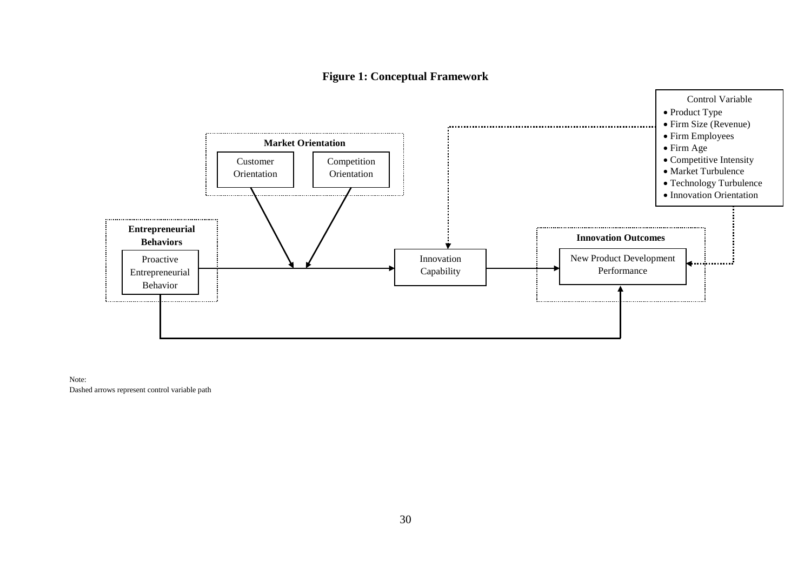## **Figure 1: Conceptual Framework**



Note: Dashed arrows represent control variable path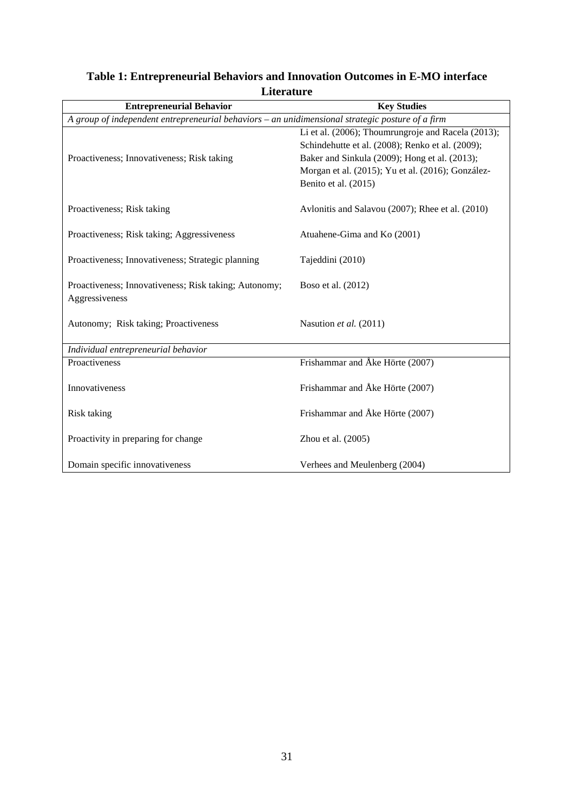| <b>Entrepreneurial Behavior</b>                                                                  | <b>Key Studies</b>                                                                                                                                                                                                                   |  |  |  |  |  |  |
|--------------------------------------------------------------------------------------------------|--------------------------------------------------------------------------------------------------------------------------------------------------------------------------------------------------------------------------------------|--|--|--|--|--|--|
| A group of independent entrepreneurial behaviors - an unidimensional strategic posture of a firm |                                                                                                                                                                                                                                      |  |  |  |  |  |  |
| Proactiveness; Innovativeness; Risk taking                                                       | Li et al. (2006); Thoumrungroje and Racela (2013);<br>Schindehutte et al. (2008); Renko et al. (2009);<br>Baker and Sinkula (2009); Hong et al. (2013);<br>Morgan et al. (2015); Yu et al. (2016); González-<br>Benito et al. (2015) |  |  |  |  |  |  |
| Proactiveness; Risk taking                                                                       | Avlonitis and Salavou (2007); Rhee et al. (2010)                                                                                                                                                                                     |  |  |  |  |  |  |
| Proactiveness; Risk taking; Aggressiveness                                                       | Atuahene-Gima and Ko (2001)                                                                                                                                                                                                          |  |  |  |  |  |  |
| Proactiveness; Innovativeness; Strategic planning                                                | Tajeddini (2010)                                                                                                                                                                                                                     |  |  |  |  |  |  |
| Proactiveness; Innovativeness; Risk taking; Autonomy;<br>Aggressiveness                          | Boso et al. (2012)                                                                                                                                                                                                                   |  |  |  |  |  |  |
| Autonomy; Risk taking; Proactiveness                                                             | Nasution et al. (2011)                                                                                                                                                                                                               |  |  |  |  |  |  |
| Individual entrepreneurial behavior                                                              |                                                                                                                                                                                                                                      |  |  |  |  |  |  |
| Proactiveness                                                                                    | Frishammar and Åke Hörte (2007)                                                                                                                                                                                                      |  |  |  |  |  |  |
| Innovativeness                                                                                   | Frishammar and Åke Hörte (2007)                                                                                                                                                                                                      |  |  |  |  |  |  |
| Risk taking                                                                                      | Frishammar and Åke Hörte (2007)                                                                                                                                                                                                      |  |  |  |  |  |  |
| Proactivity in preparing for change                                                              | Zhou et al. $(2005)$                                                                                                                                                                                                                 |  |  |  |  |  |  |
| Domain specific innovativeness                                                                   | Verhees and Meulenberg (2004)                                                                                                                                                                                                        |  |  |  |  |  |  |

# **Table 1: Entrepreneurial Behaviors and Innovation Outcomes in E-MO interface Literature**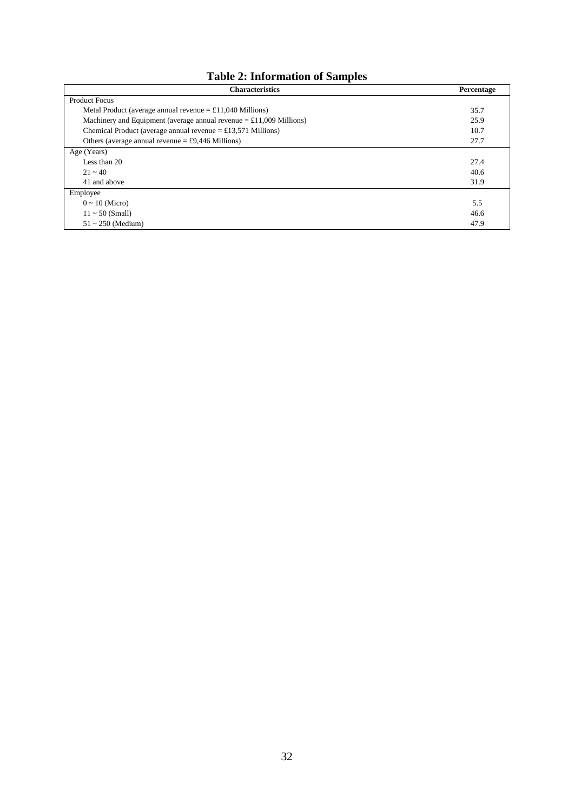# **Table 2: Information of Samples**

| <b>Characteristics</b>                                                       | Percentage |
|------------------------------------------------------------------------------|------------|
| <b>Product Focus</b>                                                         |            |
| Metal Product (average annual revenue $= \pounds 11,040$ Millions)           | 35.7       |
| Machinery and Equipment (average annual revenue $= \pounds 11,009$ Millions) | 25.9       |
| Chemical Product (average annual revenue $=$ £13,571 Millions)               | 10.7       |
| Others (average annual revenue $= £9,446$ Millions)                          | 27.7       |
| Age (Years)                                                                  |            |
| Less than 20                                                                 | 27.4       |
| $21 - 40$                                                                    | 40.6       |
| 41 and above                                                                 | 31.9       |
| Employee                                                                     |            |
| $0 \sim 10$ (Micro)                                                          | 5.5        |
| $11 \sim 50$ (Small)                                                         | 46.6       |
| $51 \sim 250$ (Medium)                                                       | 47.9       |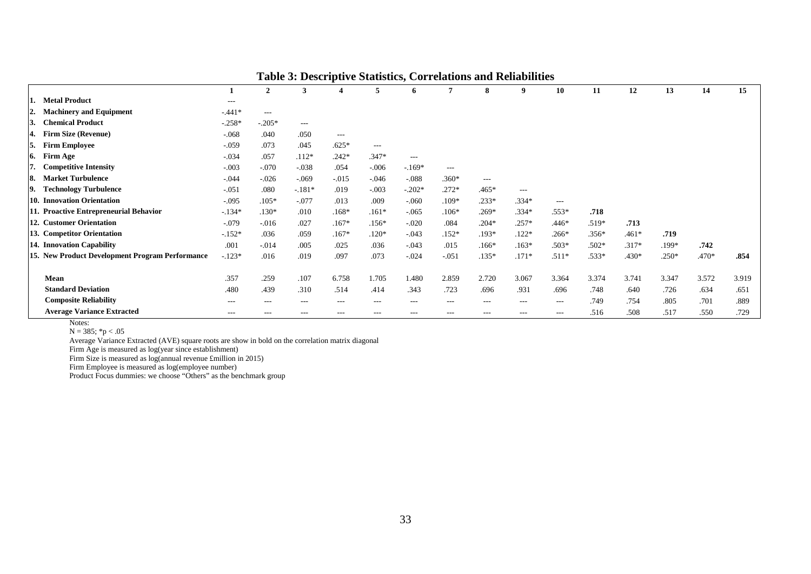|                                                 |          | $\overline{2}$ | 3        | 4       | 5       | 6        |         | 8       | 9                 | 10      | 11      | 12      | 13      | 14      | 15    |
|-------------------------------------------------|----------|----------------|----------|---------|---------|----------|---------|---------|-------------------|---------|---------|---------|---------|---------|-------|
| <b>Metal Product</b>                            | $- - -$  |                |          |         |         |          |         |         |                   |         |         |         |         |         |       |
| <b>Machinery and Equipment</b><br>12.           | $-441*$  | $---$          |          |         |         |          |         |         |                   |         |         |         |         |         |       |
| <b>Chemical Product</b><br>3.                   | $-.258*$ | $-.205*$       | $\cdots$ |         |         |          |         |         |                   |         |         |         |         |         |       |
| <b>Firm Size (Revenue)</b><br>4.                | $-.068$  | .040           | .050     | $---$   |         |          |         |         |                   |         |         |         |         |         |       |
| 5.<br><b>Firm Employee</b>                      | $-.059$  | .073           | .045     | $.625*$ | $---$   |          |         |         |                   |         |         |         |         |         |       |
| <b>Firm Age</b><br>6.                           | $-.034$  | .057           | $.112*$  | $.242*$ | $.347*$ | $---$    |         |         |                   |         |         |         |         |         |       |
| <b>Competitive Intensity</b>                    | $-.003$  | $-.070$        | $-.038$  | .054    | $-.006$ | $-.169*$ | $---$   |         |                   |         |         |         |         |         |       |
| <b>Market Turbulence</b><br>18.                 | $-.044$  | $-.026$        | $-.069$  | $-.015$ | $-.046$ | $-.088$  | $.360*$ | $---$   |                   |         |         |         |         |         |       |
| <b>Technology Turbulence</b>                    | $-.051$  | .080           | $-.181*$ | .019    | $-.003$ | $-.202*$ | $.272*$ | $.465*$ | $---$             |         |         |         |         |         |       |
| 10. Innovation Orientation                      | $-.095$  | $.105*$        | $-.077$  | .013    | .009    | $-.060$  | $.109*$ | $.233*$ | $.334*$           | $---$   |         |         |         |         |       |
| 11. Proactive Entrepreneurial Behavior          | $-134*$  | $.130*$        | .010     | $.168*$ | $.161*$ | $-.065$  | $.106*$ | $.269*$ | $.334*$           | $.553*$ | .718    |         |         |         |       |
| 12. Customer Orientation                        | $-.079$  | $-.016$        | .027     | $.167*$ | $.156*$ | $-.020$  | .084    | $.204*$ | $.257*$           | $.446*$ | $.519*$ | .713    |         |         |       |
| 13. Competitor Orientation                      | $-.152*$ | .036           | .059     | $.167*$ | $.120*$ | $-.043$  | $.152*$ | $.193*$ | $.122*$           | $.266*$ | $.356*$ | $.461*$ | .719    |         |       |
| 14. Innovation Capability                       | .001     | $-.014$        | .005     | .025    | .036    | $-.043$  | .015    | $.166*$ | $.163*$           | $.503*$ | $.502*$ | $.317*$ | $.199*$ | .742    |       |
| 15. New Product Development Program Performance | $-123*$  | .016           | .019     | .097    | .073    | $-.024$  | $-.051$ | $.135*$ | $.171*$           | $.511*$ | .533*   | $.430*$ | $.250*$ | $.470*$ | .854  |
|                                                 |          |                |          |         |         |          |         |         |                   |         |         |         |         |         |       |
| Mean                                            | .357     | .259           | .107     | 6.758   | 1.705   | 1.480    | 2.859   | 2.720   | 3.067             | 3.364   | 3.374   | 3.741   | 3.347   | 3.572   | 3.919 |
| <b>Standard Deviation</b>                       | .480     | .439           | .310     | .514    | .414    | .343     | .723    | .696    | .931              | .696    | .748    | .640    | .726    | .634    | .651  |
| <b>Composite Reliability</b>                    | $- - -$  | $---$          | $---$    | $---$   | $---$   | $---$    | $---$   | $---$   | $\qquad \qquad -$ | $---$   | .749    | .754    | .805    | .701    | .889  |
| <b>Average Variance Extracted</b>               | $- - -$  | $- - -$        | $- - -$  | $- - -$ | $- - -$ | $- - -$  | $- - -$ | $- - -$ | $- - -$           | $---$   | .516    | .508    | .517    | .550    | .729  |

**Table 3: Descriptive Statistics, Correlations and Reliabilities**

Notes:

 $N = 385$ ; \*p < .05

Average Variance Extracted (AVE) square roots are show in bold on the correlation matrix diagonal

Firm Age is measured as log(year since establishment)

Firm Size is measured as log(annual revenue £million in 2015)

Firm Employee is measured as log(employee number)

Product Focus dummies: we choose "Others" as the benchmark group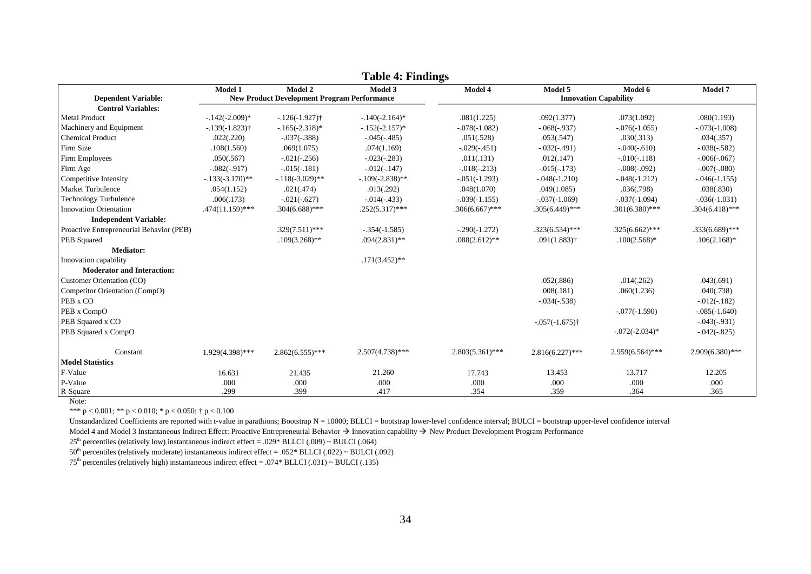|                                          | Model 1                                            | Model 2            | Model 3            | ັ<br>Model 4                       | Model 5                       | Model 6            | Model 7            |  |  |
|------------------------------------------|----------------------------------------------------|--------------------|--------------------|------------------------------------|-------------------------------|--------------------|--------------------|--|--|
| <b>Dependent Variable:</b>               | <b>New Product Development Program Performance</b> |                    |                    | <b>Innovation Capability</b>       |                               |                    |                    |  |  |
| <b>Control Variables:</b>                |                                                    |                    |                    |                                    |                               |                    |                    |  |  |
| <b>Metal Product</b>                     | $-142(-2.009)$ *                                   | $-126(-1.927)$ †   | $-140(-2.164)$ *   | .081(1.225)                        | .092(1.377)                   | .073(1.092)        | .080(1.193)        |  |  |
| Machinery and Equipment                  | $-139(-1.823)$                                     | $-165(-2.318)$ *   | $-152(-2.157)^{*}$ | $-.078(-1.082)$                    | $-0.068(-0.937)$              | $-.076(-1.055)$    | $-.073(-1.008)$    |  |  |
| <b>Chemical Product</b>                  | .022(.220)                                         | $-.037(-.388)$     | $-.045(-.485)$     | .051(.528)                         | .053(.547)                    | .030(.313)         | .034(.357)         |  |  |
| Firm Size                                | .108(1.560)                                        | .069(1.075)        | .074(1.169)        | $-0.029(-0.451)$                   | $-0.032(-0.491)$              | $-.040(-.610)$     | $-.038(-.582)$     |  |  |
| Firm Employees                           | .050(.567)                                         | $-.021(-.256)$     | $-.023(-.283)$     | .011(.131)                         | .012(.147)                    | $-0.010(-0.118)$   | $-.006(-067)$      |  |  |
| Firm Age                                 | $-.082(-.917)$                                     | $-.015(-.181)$     | $-0.012(-0.147)$   | $-0.018(-0.213)$                   | $-0.015(-0.173)$              | $-.008(-092)$      | $-.007(-.080)$     |  |  |
| Competitive Intensity                    | $-133(-3.170)$ **                                  | $-118(-3.029)$ **  | $-109(-2.838)$ **  | $-0.051(-1.293)$                   | $-.048(-1.210)$               | $-.048(-1.212)$    | $-0.046(-1.155)$   |  |  |
| Market Turbulence                        | .054(1.152)                                        | .021(.474)         | .013(.292)         | .048(1.070)<br>.049(1.085)         |                               | .036(.798)         | .038(.830)         |  |  |
| <b>Technology Turbulence</b>             | .006(.173)                                         | $-.021(-.627)$     | $-0.014(-0.433)$   | $-.037(-1.069)$<br>$-.039(-1.155)$ |                               | $-.037(-1.094)$    | $-.036(-1.031)$    |  |  |
| <b>Innovation Orientation</b>            | $.474(11.159)$ ***                                 | $.304(6.688)$ ***  | $.252(5.317)$ ***  | $.306(6.667)$ ***                  | $.305(6.449)$ ***             | $.301(6.380)$ ***  | $.304(6.418)$ ***  |  |  |
| <b>Independent Variable:</b>             |                                                    |                    |                    |                                    |                               |                    |                    |  |  |
| Proactive Entrepreneurial Behavior (PEB) |                                                    | $.329(7.511)$ ***  | $-.354(-1.585)$    | $-.290(-1.272)$                    | $.323(6.534)$ ***             | $.325(6.662)$ ***  | $.333(6.689)$ ***  |  |  |
| PEB Squared                              |                                                    | $.109(3.268)$ **   | $.094(2.831)$ **   | $.088(2.612)$ **                   | $.091(1.883)$ †               | $.100(2.568)*$     | $.106(2.168)$ *    |  |  |
| <b>Mediator:</b>                         |                                                    |                    |                    |                                    |                               |                    |                    |  |  |
| Innovation capability                    |                                                    |                    | $.171(3.452)$ **   |                                    |                               |                    |                    |  |  |
| <b>Moderator and Interaction:</b>        |                                                    |                    |                    |                                    |                               |                    |                    |  |  |
| Customer Orientation (CO)                |                                                    |                    |                    |                                    | .052(.886)                    | .014(.262)         | .043(.691)         |  |  |
| Competitor Orientation (CompO)           |                                                    |                    |                    |                                    | .008(.181)                    | .060(1.236)        | .040(.738)         |  |  |
| PEB x CO                                 |                                                    |                    |                    |                                    | $-0.034(-0.538)$              |                    | $-0.012(-0.182)$   |  |  |
| PEB x CompO                              |                                                    |                    |                    |                                    |                               | $-.077(-1.590)$    | $-.085(-1.640)$    |  |  |
| PEB Squared x CO                         |                                                    |                    |                    |                                    | $-0.057(-1.675)$ <sup>+</sup> |                    | $-0.043(-0.931)$   |  |  |
| PEB Squared x CompO                      |                                                    |                    |                    |                                    |                               | $-0.072(-2.034)$ * | $-.042(-.825)$     |  |  |
| Constant                                 | 1.929(4.398)***                                    | $2.862(6.555)$ *** | $2.507(4.738)$ *** | $2.803(5.361)$ ***                 | $2.816(6.227)$ ***            | $2.959(6.564)$ *** | $2.909(6.380)$ *** |  |  |
| <b>Model Statistics</b>                  |                                                    |                    |                    |                                    |                               |                    |                    |  |  |
| F-Value                                  | 16.631                                             | 21.435             | 21.260             | 17.743                             | 13.453                        | 13.717             | 12.205             |  |  |
| P-Value                                  | .000                                               | .000               | .000               | .000                               | .000                          | .000               | .000               |  |  |
| R-Square                                 | .299                                               | .399               | .417               | .354                               | .359                          | .364               | .365               |  |  |

**Table 4: Findings**

Note:

\*\*\* p < 0.001; \*\* p < 0.010; \* p < 0.050; † p < 0.100

Unstandardized Coefficients are reported with t-value in parathions; Bootstrap N = 10000; BLLCI = bootstrap lower-level confidence interval; BULCI = bootstrap upper-level confidence interval

Model 4 and Model 3 Instantaneous Indirect Effect: Proactive Entrepreneurial Behavior  $\rightarrow$  Innovation capability  $\rightarrow$  New Product Development Program Performance

 $25<sup>th</sup>$  percentiles (relatively low) instantaneous indirect effect = .029\* BLLCI (.009) ~ BULCI (.064)

 $50<sup>th</sup>$  percentiles (relatively moderate) instantaneous indirect effect = .052\* BLLCI (.022) ~ BULCI (.092)

 $75<sup>th</sup>$  percentiles (relatively high) instantaneous indirect effect = .074\* BLLCI (.031) ~ BULCI (.135)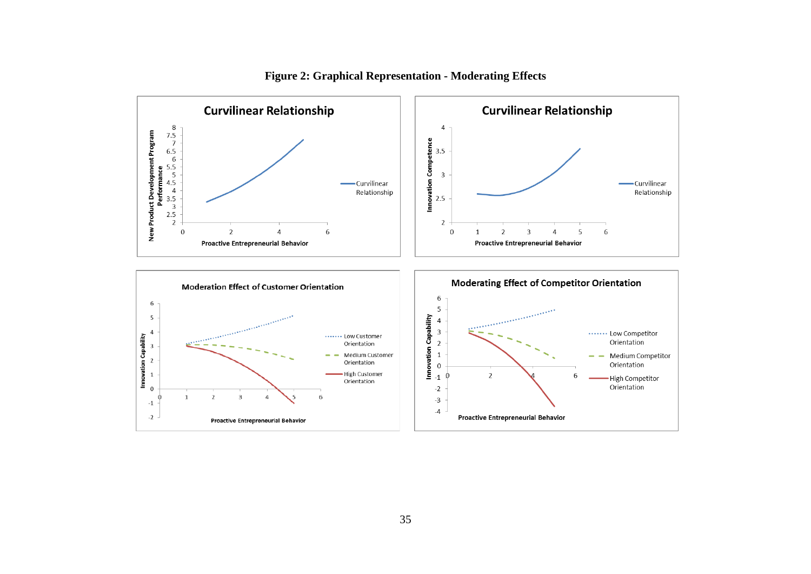

**Figure 2: Graphical Representation - Moderating Effects**